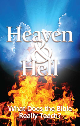# What Does the Bible<br>2 Really Teach?

C C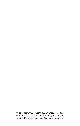**THIS PUBLICATION IS NOT TO BE SOLD.** It is a free educational service in the public interest, published by the United Church of God, *an International Association.*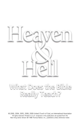

# What Does the Bible Really Teach?

© 2007 United Church of God, *an International Association* © 2000, 2004, 2005, 2008, 2009 United Church of God, *an International Association*  All rights reserved. Printed in U.S.A. Scriptures in this publication are quoted from the New King James Version (© 1988 Thomas Nelson, Inc., publishers) unless otherwise noted. New King James Version (© 1988 Thomas Nelson, Inc., publishers) unless otherwise noted.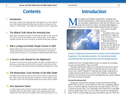# **Contents**

## 3 Introduction

Few things could be more important than what happens to us when this life ends. Most people believe the Bible teaches that we will go to either heaven or hell at death. They might be surprised at what it really says!

## 6 The Biblical Truth About the Immortal Soul

Ideas about us going to heaven or hell hinge on belief in the immortal soul, which must go somewhere when the body dies. Yet the Bible nowhere teaches the soul is immortal. So where did the idea originate?

# 15 Will a Loving God Punish People Forever in Hell?

Millions believe that God is loving and merciful, but also that He has condemned millions to suffer torment for all eternity. Is something wrong with this picture, or is the problem a distorted belief about hell?

# 29 Is Heaven God's Reward for the Righteous?

If heaven is the reward for good people, why does the Bible reveal so little about what they will do there for eternity? Could it be that this isn't our reward at all and that God has something far different in mind?

# 43 The Resurrection: God's Promise of Life After Death

The Bible clearly teaches that the dead will be raised in a resurrection. But if their souls have already gone to heaven or hell at death, what's the point? Could it be that popular beliefs don't agree with the Bible?

## 50 Your Awesome Future

A careful study of the Scriptures reveals major problems with popular beliefs about life after death. Sadly, these misguided ideas have masked the truth about the incredible future God has planned for us! ost religions and religious organizations, including most<br>
Christian denominations, teach that good people go to some<br>
sort of paradise, usually heaven, after they die. Heaven is ty<br>
cically characterized as a place of uns Christian denominations, teach that good people go to some sort of paradise, usually heaven, after they die. Heaven is typically characterized as a place of unsurpassable happiness—



there will live joyfully forever.

Yet despite what a wonderful place it's supposed to be, it seems no one is in a hurry to go there.

Widespread belief in death as the gateway to heaven does not change the fact that most people view death as something to be

*Heaven is typically characterized as a place of unsurpassable happiness—the ultimate paradise. It is commonly taught and believed that all who go there will live joyfully forever.*

avoided at all costs. Through medical science we usually do everything we can to prevent death as long as possible.

If people could journey right away to eternal life in heaven by means of some heavenly express, wouldn't we find that almost no one would want to buy a ticket? Wouldn't we find that most people would prefer to continue their present life here on earth? The possibility of immediate residence in heaven doesn't seem to be that appealing. Our actions indicate this is the way most of us think.

#### **An eternity doing what?**

*Designpics*

Perhaps the reason for the reluctance to enter the hereafter through death is that no one has ever provided us with a truly compelling explanation as to what the righteous would do after arriving in heaven. If we are to spend all eternity there, you would think God would tell us in the Bible what we should expect once we arrive. Will we spend our time plucking harps? Will we sit and simply gaze upon God forever and ever? These are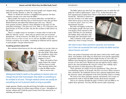both popular conceptions of heaven, but most people can't imagine doing either for eternity. Eternity is, after all, a long time!

Maybe we should ask ourselves a straightforward question: Do these common concepts even come from the Bible?

Many people who expect to go to heaven admit they can find little in the Scriptures about what they have to look forward to once they get there. British historian and author Paul Johnson put it this way: "Heaven . . . lacks genuine incentive. Indeed, it lacks definition of any kind. It is the great hole in theology" (*The Quest for God,* 1996, p. 173). If heaven is the goal God has set for His servants, why has He revealed so little about it in His Word?

There is a simple reason we encounter a vacuum when we look in the Bible for what the "saved"—those who are spared some sort of eternal punishment—will do in heaven. *The Bible does not say the righteous will dwell in heaven as their reward.* As we will see, the Bible reveals that God has *something else* in mind—something far different and far superior to most people's concepts about heaven!

#### **Troubling questions about hell**

But confusion about heaven isn't the only problem we run into when we



consider popular views of life after death. What about the *un*righteous, those who don't measure up? What happens to *them?*

Many who profess Christianity believe the wicked will burn forever in hell. They sincerely believe this is what the Bible teaches. But we need to ask a

*Photos, from left: iStockphoto, Scott Campbell*

Photos, from left: iStockphoto, Scott Campbell

*Widespread belief in death as the gateway to heaven does not change the fact that most people view death as something to be avoided at all costs. Through medical science we usually do everything we can to prevent death as long as possible.* 

simple question: Would a merciful and loving God inflict excruciating torment on human beings for trillions upon trillions of years—throughout all eternity without end? Could the great Creator God of the universe be so unfeeling and uncaring?

eternal life. "Salvation is found in no one else, for there is no other name under heaven given to men by which we must be saved" (Acts 4:12, New International Version).

But what will happen in that day to the hapless people who have never even heard or been exposed to that name? Will they be cast shrieking into hellfire along with those who knowingly hate and despise God?

Only a minority of the earth's population lays claim to being Christian.



*We need to face these questions squarely and honestly. Isn't it time we examined the truth of what the Bible teaches about heaven and hell?*

Those who profess Christianity total only about a third of the world's population. Vast numbers of the other two thirds have never had the opportunity to genuinely repent and accept Christ simply because of *where* they live. Millions more through the centuries likewise never had the opportunity because of *when* they lived. Would it be just and right for God to subject them to the same punishment He will give to those who willfully reject Him and choose to make themselves His enemies?

These questions are neither trivial nor hypothetical. They affect the overwhelming majority of all people who have ever lived. When carried to their conclusions, the traditional answers have sobering implications about the character, nature and judgment of the God Christians claim to worship.

We need to face these questions squarely and honestly. Isn't it time we examined the truth of what the Bible teaches about heaven and hell?

Join us on a journey through the pages of history and your Bible as we explore these questions. You may find the answers quite surprising!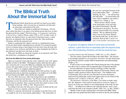Traditional beliefs about heaven and hell are based on an under-<br>lying teaching—that everyone has an immortal soul that must<br>go somewhere when physical life ends.<br>This belief isn't unique to traditional Christianity. "All lying teaching—that everyone has an immortal soul that must go somewhere when physical life ends.

This belief isn't unique to traditional Christianity. "All relithe physical life has ended" (*World Scripture: A Comparative Anthology of Sacred Texts,* Andrew Wilson, editor, 1995, p. 225). In other words, in general, all religions believe in some kind of immortal essence, a spirit that lives on separately after the physical body dies. Most professing Christians call this the immortal soul.

Failure to understand this subject correctly is a fundamental reason for the prevalent beliefs regarding heaven and hell. If an immortal quality exists in a human being, it must depart from the body when the body dies. The typical views of heaven and hell have as their foundation the belief in the immortal soul that leaves the body at death.

What does the Bible say about the existence of an immortal soul? Does this belief have a foundation in Scripture?

#### **Not from the Bible but from Greek philosophy**

Many are surprised to learn that the words "immortal" and "soul" appear together nowhere in the Bible. "Theologians frankly admit that the expression 'immortal soul' is not in the Bible but confidently state that Scripture *assumes* the immortality of every soul" (Edward Fudge, *The Fire That Consumes,* 1994, p. 22, emphasis added throughout).

Considering how confidently theologians hold to this doctrine, it's quite surprising that such an important assumption is not spelled out in the Bible. If it isn't found in the Bible, where did the idea originate?

The *New Bible Dictionary* offers this background on the nonbiblical nature of the immortal-soul doctrine: "The Greeks thought of the body as a hindrance to true life and they looked for the time when the soul would be free from its shackles. They conceived of life after death in terms of the immortality of the soul" (1996, p. 1010, "Resurrection").

According to this idea, the body goes to the grave at death and the soul continues to exist as a separate, conscious entity.

Belief in a separate soul and body was popular in ancient Greece and was taught by one of its most famous philosophers: "The immortality of



the soul was a principal doctrine of the Greek philosopher, Plato . . . In Plato's thinking, the soul . . . was self-moving and indivisible . . . It existed before the body which it inhabited, and which it would survive" (Fudge, p. 32).

When and how did the concept of the immortality of the soul enter the world of Christianity? The Old Testament does not teach it. *The International Standard Bible Encyclopedia* explains: "We are influenced always more or less by the Greek, Platonic idea that the body dies, yet the soul is immortal. Such an idea *is utterly contrary to the Israelite consciousness and* 

*In general, all religions believe in some kind of immortal essence, a spirit that lives on separately after the physical body dies. Most professing Christians call this the immortal soul.*

*is nowhere found in the Old Testament"* (1960, Vol. 2, p. 812, "Death").

The first-century Church did not hold to this belief either: "The doctrine is increasingly regarded as *a post-apostolic innovation,* not only unnecessary but positively harmful to proper biblical interpretation and understanding" (Fudge, p. 24).

If such an idea was not taught in the Church during the time of the apostles, how did it come to assume such an important place in Christian doctrine?

Several authorities recognize that the teachings of Plato and other Greek philosophers have profoundly influenced Christianity. History and religious studies professor Jeffrey Russell states, "The unbiblical idea of immortality did not die but even flourished, because theologians . . . admired Greek philosophy [and] found support there for the notion of the immortal soul" (*A History of Heaven,* 1997, p. 79).

*The Interpreter's Dictionary of the Bible,* in its article on death, states that "the 'departure' of the *nephesh* [soul] must be viewed as a figure of speech, for it does not continue to exist independently of the body, but dies with it . . . No biblical text authorizes the statement that the 'soul' is separated from the body at the moment of death" (1962, Vol. 1, p. 802, "Death").

Should we then accept a teaching that is not found in the Bible? Many people take it for granted that their beliefs are based on the life and teachings

*Designpics*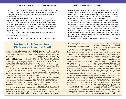of Jesus Christ and God's Word. Yet Jesus said in a prayer to His Father, "Your word is truth" (John 17:17). Does God give men the liberty to draw from the world's philosophers and incorporate their beliefs into biblical teaching as though they were fact?

God inspired the apostle Peter to write, "Knowing this first, that no prophecy of Scripture is of any private interpretation, for prophecy never came by the will of man, but holy men of God spoke as they were moved by the Holy Spirit" (2 Peter 1:20-21). We must look to the words of Christ, the prophets and the apostles in the Holy Scriptures if we are to understand the truth about the doctrine of the immortality of the soul or any other religious teaching.

Let's dig further to see exactly what the Bible tells us about the soul.

#### *Soul* **in the Hebrew Scriptures**

The Hebrew word most often translated into English as "soul" in the

# **Do Some Bible Verses Teach We Have an Immortal Soul?**

some of these passages and understand what returns to the earth. The person who has died they really say.

#### Matthew 10:28: Destroying soul and body in hell?

"And do not fear those who kill the body but cannot kill the soul. But rather fear Him who is able to destroy both soul and body in hell" (Matthew 10:28).

Is Jesus teaching in this verse that the soul lives on after death and is immortal? Not at all. If you look at this scripture closely, you see term originally referred to a valley on the south that Jesus is actually saying that *the soul can*  side of Jerusalem in which pagan deities were *be destroyed.* Jesus is here warning about the worshipped. judgment of God. He says not to fear those who can destroy only the physical human body (*soma* in the Greek), but fear Him (God) who is also able to destroy the soul (*psuche*)—here denoting the person's physical being with its dispose of useless things. consciousness.

one man kills another the resulting death is only The Scriptures teach that God will in the future temporary; God can raise anyone to conscious burn up the incorrigibly wicked in an all-

Come believe that various scriptures support 9:23-25; 27:52; John 11:43-44; Acts 9:40-<br>
Sublief in an immortal soul. Let's consider 41; 20:9-11) or in the age to come after Christ O ome believe that various scriptures support 9:23-25; 27:52; John 11:43-44; Acts 9:40is not ultimately gone forever. We must have a proper fear of God, who alone can remove one's physical life and all possibility of any later resurrection to life. When God destroys one in "hell," that person's destruction is permanent.

> What is the "hell" spoken of in this verse? The Greek word used here is *gehenna,* which comes from the combination of two Hebrew words, *gai*  and *hinnom,* meaning "Valley of Hinnom." The

> Because of its reputation as an abominable place, it later became a garbage dump where refuse was burned. *Gehenna* became synonymous with "a place of burning"—a site used to

Simply stated, Christ was showing that when tence *and* eliminate any hope of a resurrection. life again either soon after death (see Matthew consuming fire, turning them to ashes (Malachi Only God can utterly destroy human exisBible is *nephesh. Strong's Exhaustive Concordance of the Bible* succinctly defines this word as meaning "a breathing creature." When used in the Bible, *nephesh* does not mean a spirit entity or the spirit within a person. Rather, it usually means a physical, living, breathing creature. Occasionally it conveys a related meaning such as breath, life or person.

Surprising to many, this term *nephesh* is used to refer not just to human beings, but also to *animals*. For example, notice the account of the creation of sea life: "And God created great whales, and every living creature that moveth, which the waters brought forth abundantly, after their kind, and every winged fowl after his kind: and God saw that it was good" (Genesis 1:21, King James Version). The Hebrew word translated "creature" in this verse is *nephesh.* In the biblical account, these particular "souls," creatures of the sea, were made before the first human beings were formed and given life.

The term is also applied to birds (verse 30) and land animals, including

#### 4:3)—annihilating them forever.

#### 1 Thessalonians 5:23: Spirit, soul and body?

Many are confused by an expression the apostle Paul uses in one of his letters to the Thessalonians: "Now may the God of peace Himself sanctify you completely; and may your whole spirit, soul, and body be preserved blameless at the coming of our Lord Jesus Christ" (1 Thessalonians 5:23).

What does Paul mean by the phrase "spirit, soul, and body"?

By "spirit" (*pneuma*), Paul means the nonmaterial component that is joined to the physical human brain to form the human mind. This spirit is not conscious of itself. Rather, it gives the brain the ability to reason, create and analyze our existence (see also Job 32:8; 1 Corinthians son's physical being with its consciousness. By "body" (*soma*), Paul means a physical body of flesh. In short, Paul wished for the whole person, including the mind, vitality of conscious life and physical body, to be sanctified and blameless.

#### Revelation 6:9-10: Souls of slain crying out?

"When He opened the fifth seal, I saw under the altar the souls of those who had been slain for the word of God and for the testimony which they or some other state or location (verse 34).

held. And they cried with a loud voice, saying, 'How long, O Lord, holy and true, until You judge and avenge our blood on those who dwell on the earth?'" (Revelation 6:9-10).

2:11). By "soul" (psuche), Paul means the per- of justice will not forget the evil deeds of mankind To understand this scripture, we must remember the context. John was witnessing a vision while he was "in the Spirit" (Revelation 4:2). Under inspiration he was seeing future events depicted in symbolism. The fifth seal is *figurative* of the Great Tribulation, a time of world turmoil preceding Christ's return. In this vision, John sees under the altar the martyred believers who *sacrificed their lives* for their faith in God. These souls figuratively cry out, "Avenge our blood!" This can be compared to Abel's blood metaphorically crying out to God from the ground (Genesis 4:10). Though neither dead souls nor blood can actually speak, these phrases figuratively demonstrate that a God perpetrated against His righteous followers.

> This verse does not describe living souls that have gone to heaven. The Bible confirms that *"no one has ascended to heaven* but He who came down from heaven, that is, the Son of Man who is in heaven [Jesus Christ]" (John 3:13). Even righteous King David, a man after God's own heart (Acts 13:22), was described by Peter as being "dead and buried" (Acts 2:29), not alive in heaven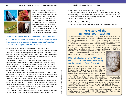

cattle and "creeping" creatures such as reptiles and insects (verse 24). It follows, then, if we make an argument for man possessing an immortal soul, animals must also have an immortal soul, since the same Hebrew word is used of man and animal alike. Yet no biblical scholars would seriously make such claims for animals. The truth is, the term *soul* refers to *any living creature,* whether man or beast—not to

*In the Old Testament, man is referred to as a "soul" more than 130 times. But the same Hebrew term is also applied to sea creatures, birds and land animals, including cattle and "creeping" creatures such as reptiles and insects. All are "souls."*

some separate, living essence temporarily inhabiting the body.

In the Old Testament, man is referred to as a "soul" (Hebrew *nephesh*) more than 130 times. The first place we find *nephesh* in reference to mankind is in the second chapter of Genesis: "And the LORD God formed man of the dust of the ground, and breathed into his nostrils the breath of life; *and man became a living soul"* (verse 7, KJV).

The word translated "soul" in this verse is again the Hebrew word *nephesh*. Other translations of the Bible state that man became a living "being" or "person." This verse does not say that Adam *had* an immortal soul; rather it says that God breathed into Adam the "breath of life," and Adam *became* a living soul. At the end of his days, when the breath of life left Adam, he died and returned to dust.

The Old Testament plainly teaches that the soul dies. God told Adam and Eve, two "living souls," that they would "surely die" if they disobeyed Him (Genesis 2:17). God also told Adam that He had taken him from the dust of the earth and he would return to dust (Genesis 3:19).

Among the plainer statements in the Bible about what happens to the soul at death are Ezekiel 18:4 and 18:20. Both passages clearly state that "the soul who sins *shall die."* Again, the word for "soul" here is *nephesh.* In fact, this same word was even used of corpses—dead bodies (see Leviticus 22:4; Numbers 5:2; 6:11; 9:6-10).

Not only do all these scriptures show that the soul indeed can and does die, but the soul is identified as a *physical* being—not a separate spirit

entity with existence independent of its physical host.

The Biblical Truth About the Immortal Soul

The Scriptures tell us that the dead have no consciousness: "For the living know that they will die; but the dead *know nothing"* (Ecclesiastes 9:5). They are not conscious in some other state or place (see "Jesus Christ and Biblical Writers Compare Death to Sleep").

#### **The New Testament teaching**

The New Testament contains several statements confirming that the

# **The History of the Immortal-Soul Teaching**

**Despite widespread use of the phrase** *immor***-** Early Christianity was influenced and cor-<br>*tal soul,* this terminology is found nowhere rupted by Greek philosophies as it spread through in the Bible. Where did the idea of an immortal the Greek and Roman world. By A.D. 200 the soul originate?

The concept of the soul's supposed immor-controversy among Christian believers. tality was first taught in ancient Egypt and Babylon. "The belief that the soul continues in that Origen, an early and influential Catholic existence after the dissolution of the body is . . . speculation . . . nowhere expressly taught in Holy ers: "Speculation Scripture . . . The belief in the immortality of the about the soul in soul came to the Jews from contact with Greek the subapostolic

*Plato (428-348 B.C.), the Greek philosopher and student of Socrates, taught that the body and the immortal soul separate at death.*

thought and chiefly through the philosophy of church was heav-Plato, its principal exponent, who was led to ily influenced by it through Orphic and Eleusinian mysteries in Greek philosophy. which Babylonian and Egyptian views were This is seen in Oristrangely blended" (*Jewish Encyclopedia,* 1941, gen's acceptance Vol. 6, "Immortality of the Soul," pp. 564, 566). of Plato's doctrine

on ancient Israel's view of the soul: "We are influ-earthward" (1992, "Soul," p. 1037). enced always more or less by the Greek, Platonic idea that the body dies, yet the soul is immortal. Such an idea is utterly contrary to the Israelite consciousness and is nowhere found in the Old Testament" (1960, Vol. 2, p. 812, "Death").

*Photos, from left: Photos.com (4), Wikimedia Commons*

Photos, from left: Photos.com (4), Wikimedia Commons

Early Christianity was influenced and cordoctrine of the immortality of the soul became a

*The Evangelical Dictionary of Theology* notes theologian, was influenced by Greek think-



Plato (428-348 B.C.), the Greek philosopher of the preexistence of the soul as pure mind and student of Socrates, taught that the body and (*nous*) originally, which, by reason of its fall the "immortal soul" separate at death. *The Inter-*from God, cooled down to soul (*psyche*) when it *national Standard Bible Encyclopedia* comments lost its participation in the divine fire by looking

Secular history reveals that the concept of the immortality of the soul is an ancient belief embraced by many pagan religions. But it's not a biblical teaching and is not found in either the Old or New Testaments.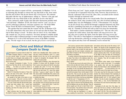wicked who refuse to repent will die—permanently. In Matthew 7:13-14, in exhorting His disciples to choose the way that leads to life, Jesus states that the end of those who do not choose life is *destruction.* He contrasts that path with the way of righteousness, telling us, "Narrow is the gate and difficult is the way which leads to life, and there are few who find it."

Jesus, moreover, made it quite clear that utter destruction includes both "soul and body" (Matthew 10:28), the Greek word for "soul" (*psyche* or *psuche*) referring to physical, conscious existence (see "Do Some Bible Verses Teach We Have an Immortal Soul?" begining on page 8).

The apostle Paul also stated that the wicked will die. In Romans 6:20- 21 he talks about those who were slaves of sin and says that for them "the end of those things is *death."* So those who are slaves of sin, who habitually commit sin, can *perish completely*. Yet many attempt to redefine death here and in other scriptural passages to mean merely separation from God.

Romans 6:23 is one of the best-known verses of the Bible. It plainly states, "For the wages of sin is *death,* but the *gift of God is eternal life* in Christ Jesus our Lord." Again, people will argue that death here means an eternal *life* of separation from God. Note, however, that *death* here is directly contrasted with *eternal life.* How, then, can death involve eternal existence through an immortal soul?

This verse plainly tells us two crucial truths. First, the punishment of the wicked is *death,* utter cessation of life, not a life of eternal suffering in another place (see also Philippians 3:18-19; 2 Thessalonians 1:9). Second, we do not *already have* eternal life through a supposed immortal soul. Eternal life is something God must *give* us through our Savior, Jesus the Messiah. In 1 Timothy 6:16 Paul also tells us that *God alone* has immortality.

Paul makes a similar statement in Galatians 6:8: "The one who sows to please his sinful nature, from that nature will reap *destruction;* the one who sows to please the Spirit, from the Spirit will reap *eternal life"* (NIV). This tells us what happens to unrepentant sinners. Eventually they will reap destruction, referring to wasting away and perishing, but those who repent and obey God will ultimately receive eternal life.

# **Jesus Christ and Biblical Writers Compare Death to Sleep**

It is not a normal "sleep," of course. It is a sleep decided to go to him, but, so He could perform in which there is no thought, brain activity or life a miracle to strengthen His disciples' faith, He whatsoever. Passages throughout the Bible show waited until Lazarus died. this to be the case.

living know that they will die; *but the dead know*  them Lazarus was asleep and that He was going *nothing* . . . For there is no work or device or to awaken him (John 11:11-14). The disciples knowledge or wisdom in the grave where you are responded that sleep was good because it would going" (verses 5, 10).

sleep in the dust of the earth," who later "shall awake" through being resurrected.

Job speaks of the state of the dead on more a condition like sleep. than one occasion. "Why did I not die at birth? ... For now I would have lain still and been quiet, I would have been asleep; then I would have been at rest . . . There the wicked cease from troubling, and there the weary are at rest" (Job 3:11, 13, 17).

the death of Lazarus, a friend of Jesus, illustrates resurrection.

What happens to a person when he dies? The death to be a sleeplike state. "Now a certain man Bible compares death to a state of sleep. was sick, Lazarus of Bethany" (John 11:1). Jesus  $\Lambda$  /hat happens to a person when he dies? The death to be a sleeplike state. "Now a certain man

For example, Ecclesiastes 9 states, "For the condition of Lazarus with His disciples. He told Daniel 12:2 describes the dead as "those who told them, "Lazarus is dead" (verse 14). Notice Before going to Bethany, Jesus discussed the help him get well (verse 12). Jesus then plainly that Jesus stated emphatically that Lazarus was dead, but at the same time He described death as

Why did I not perish when I came from the womb? with a loud voice, 'Lazarus, come forth!' And he When the time came for Jesus to act, "He cried who had died came out bound hand and foot with graveclothes . . . Jesus said to them, 'Loose him, and let him go'" (verses 43-44).

Many centuries later the biblical account of Jesus called him out of the grave by a miraculous Lazarus had not gone to heaven or hell. He had been entombed, where he "slept" in death until

of sleep at death. The dead are unconscious. The common belief is that at death the body goes to the grave and the soul remains conscious and goes either to heaven or hell. Yet as we have seen, this belief is not biblical.

the dead, Paul refers to the righteous dead who will be resurrected to meet Christ in the air as resurrection. being "asleep":

"For this we say to you by the word of the Lord, that we who are alive and remain until the coming *are asleep.* For the Lord Himself will descend from heaven with a shout, with the voice of an archangel, will rise first. Then we who are alive and remain shall be caught up together with them in the clouds to meet the Lord in the air. And thus we shall always be with the Lord" (1 Thessalonians 4:15-17).

So those who are in their graves will be resurrected, rising to meet the returning Messiah along with His followers who are then still alive. They all will be caught up in the air to meet Christ in the to reign with Him in the Kingdom of God.

That the dead are figuratively in a state of sleep, awaiting the resurrection, "was the preva-

Like Lazarus, everyone enters a figurative state lent opinion until as late as the 5th century" (D.P. In another reference that describes the state of waiting in the grave. They are, as Jesus and Paul Walker, *The Decline of Hell: Seventeenth-Century Discussions of Eternal Torment,* 1964, p. 35). The change away from the biblical teaching occurred several centuries after Christ. The plain teaching of the Bible is that the dead are unconscious, put it, sleeping. They will not awake until the

of the Lord will by no means precede those who indeed, the dead sleep in utter insensibility till the and with the trumpet of God. And the dead in Christ in the same way that the living pass in profound Even Martin Luther, leader of the Protestant Reformation, wrote at one point: "It is probable, in my opinion, that, with very few exceptions day of judgment . . . On what authority can it be said that the souls of the dead may not sleep . . . slumber the interval between their downlying at night and their uprising in the morning?" (Letter to Nicholas Amsdorf, Jan. 13, 1522, quoted in Jules Michelet, *The Life of Luther,* translated by William Hazlitt, 1862, p. 133). Yet the Reformation did not embrace the truth that the dead sleep in total unawareness.

first resurrection. They will then return to the earth Jesus said, the hour is coming "in which all who Eventually all will arise from this sleep. As are in the graves will hear His voice and come forth" (John 5:28-29). This is the comforting and encouraging truth revealed in the Scriptures.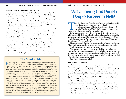#### **No conscious afterlife without a resurrection**

So *is* man an immortal soul? No. Does he *have* an immortal soul? No. The Bible declares plainly that man is temporary, of the dust of the earth. There is no immortal quality about man at all—unless and until he receives it from God through a resurrection, which means being brought back to life in a body, raised from the dead as Jesus was.

The Bible clearly states that man puts on immortality at the *resurrection* (1 Corinthians 15:50-54), not at the end of his physical life. Until that time man has no more permanence than animals.

Nor does man have some spiritual soul with conscious awareness independent of the physical body. This has been proven time and time again when individuals have gone into comas for weeks, months and sometimes years at a time, only to emerge from that comatose state with no memory or recollection of the passage of time.

If one had a soul that existed independently of the human body, wouldn't that soul have some memory of remaining aware during the months or years the body was unconscious? That would be powerful and logical proof of the existence of an independent soul within the human body—yet no one has ever reported any such thing, in spite of thousands of such occurrences.

This fact likewise supports what the Bible teaches—that *consciousness ceases at death.* Only through a resurrection to life will consciousness return.

# **The Spirit in Man**

**Human beings do have a spiritual compo-** from the body, for man is mortal. When we delinent to our makeup. As Job 32:8 says, we will have no awareness of anything at all. "There is a spirit in man." Zechariah 12:1 (1 Corinthians 2:11).

It is this human spirit that imparts human and memories preserved and intact. intellect to our physical brains, creating the more intelligent than animals.

the human spirit has no consciousness apart and baptism (Acts 2:38).

**I** Juman beings do have a spiritual compo- from the body, for man is mortal. When we die,

tells us that God "forms the spirit of man "the spirit returns to God who gave it" within him." And the apostle Paul pointed out, where it is retained until the future time when "For what man knows the things of a man God places those individual spirits within new except the spirit of the man which is in him?" bodies at the resurrection, thereby bringing Ecclesiastes 12:7 tells us that, at death, individuals back to life with their personality

human mind. This is what makes people vastly tiny, since God's Holy Spirit joining with it Yet this spiritual aspect of human existence 8:16). And just as the human spirit gives us is nothing like the immortal soul concept. It is human understanding, so God's Spirit gives something distinctly different. The spirit in man us higher, godly understanding (1 Corinthians is not animate of itself. It is not a spirit entity 2:10-16). We are not born with the Holy Spirit that "lives on" after death. As Scripture shows, but receive it from God following repentance The human spirit is critical to our desis what makes us God's children (Romans

# Will a Loving God Punish People Forever in Hell?

since the actual test would prove quite painful.

ake this simple test. Or perhaps it's better if you just imagined it, since the actual test would prove quite painful.<br>Light a match, then hold your finger in its tiny flame for five seconds. What happens? You'll likely sc Light a match, then hold your finger in its tiny flame for five seconds. What happens? You'll likely scream involuntarily and suffer misery for several days from a painful burn.

Perhaps you've seen a burn victim who was disfigured in some horrible accident, his flesh gnarled and misshapen. Imagine being trapped in flames that would char and burn away your skin in the same way. What would that kind of agony feel like if it went on for a minute? For a year? For a *lifetime?* For *ever and ever?*

Most people would find the idea horrifying almost beyond imagination. They would understandably be aghast and sickened that anyone might willingly torture another person in that way.

Why, then, are so many willing to accept the idea that the God they worship and hold in highest esteem would willingly inflict such punishment not on just a few, but on a great multitude of people who die every single day? How can such a belief possibly square with the Bible's description of a God who is infinitely loving and merciful?

Just what is the truth about hell?

#### **Hell through the centuries**

The traditional view of hell as a fiery cauldron of punishment has been taught for centuries. Perhaps one of the earliest to expound this view among Christians was the Catholic theologian Tertullian, who lived around A.D. 160-225. In the third century, Cyprian of Carthage also wrote: "The damned will burn for ever in hell. Devouring flames will be their eternal portion. Their torments will never have diminution or end" (quoted by Peter Toon, *Heaven and Hell: A Biblical and Theological Overview,* 1986, p. 163).

This belief has been officially reiterated over the centuries. An edict from the Council of Constantinople (modern Istanbul) in 543 states: "Whoever says or thinks that the punishment of demons and the wicked will not be eternal . . . let him be anathema" (D.P. Walker, *The Decline of Hell: Seventeenth-Century Discussions of Eternal Torment,* 1964, p. 21).

The Lateran church council in 1215 reaffirmed its belief in eternal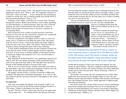torture of the wicked in these words: "The damned will go into everlasting punishment with the devil" (Toon, p. 164). The Augsburg Confession of 1530 reads: "Christ will return . . . to give eternal life and everlasting joy to believers and the elect, but to condemn ungodly men and the devils to hell and eternal punishment" (Toon, p. 131).

Teachings on the subject of hell have by no means been consistent through the centuries. Beliefs about hell have varied widely, depending on which theologian's or church historian's ideas one reads. Generally speaking, the most common belief has been that hell is a place in which wicked people are tortured forever, but never consumed, by ever-burning flames.

Hell's location has been a subject of much discussion. Some have believed it to be in the sun. For centuries the common view was that hell is inside the earth in a vast subterranean chamber.

The most comprehensive description of hell as a place, as man commonly views it, is found not in the Bible but rather in the 14th-century work *The Divine Comedy,* written by the Italian poet Dante Alighieri. In the first part of this work, called "The Inferno," Dante described an imaginary journey through hell replete with its fiery sufferings.

A more modern interpretation rejects the idea of physical torment and asserts that the torture of hell is mental anguish caused by separation from God. A recent survey of modern attitudes revealed that 53 percent of Americans embrace this perspective (*U.S. News and World Report,*  Jan. 31, 2000, p. 47).

Pope John Paul II "declared that hell is 'not a punishment imposed externally by God' but is the natural consequence of the unrepentant sinner's choice to live apart from God" (ibid., p. 48). Still others have rejected the doctrine of hell outright and believe everyone will be saved.

Why do we see so much diversity in beliefs about hell? Like belief in the immortality of the soul, common misconceptions of hell are rife with the ideas of men rather than the teachings of the Bible.

The popular concept of hell is a mixture of small bits of Bible truth combined with pagan ideas and human imagination. As we will see, this has produced a grossly inaccurate portrayal of what happens to the wicked after death.

#### **An angry God**

One of the most graphic descriptions of the torments of hell as conceived by men was given by the Puritan minister Jonathan Edwards in a 1741 sermon, "Sinners in the Hands of an Angry God."

He said: "The bow of God's wrath is bent, and the arrows made ready ... [by] an angry God ... It is nothing but His mere pleasure that keeps

you from being this moment swallowed up in everlasting destruction! The God that holds you over the pit of hell, much as one holds a spider, or some loathsome insect over the fire, abhors you and is dreadfully provoked: His wrath towards you burns like fire; He looks upon you as worthy of nothing else, but to be cast into the fire . . .

"You are ten thousand times more abominable in His eyes than the most hateful venomous serpent is in ours. You have offended Him . . .



*Gustave Doré*

Gustave Doré

and yet it is nothing but His hand that holds you from falling into the fire every moment . . .

"O sinner! Consider the fearful danger you are in: it is a great furnace of wrath, a wide and bottomless pit, full of the fire of wrath, that you are held over in the hand of God . . . You hang by a slender thread, with the flames of divine wrath flashing about it, and ready every moment to singe it, and burn it asunder." This human concept of hell was so

*The most comprehensive description of hell as a place, as man commonly views it, is found not in the Bible but rather in the 14th-century work* The Divine Comedy, *written by the Italian poet Dante Alighieri. Dante described an imaginary journey through hell replete with its fiery sufferings.*

terrible that the prospect of such a fate caused great anguish, fear and anxiety for many Puritans. "The heavy emphasis on hell and damnation combined with an excessive self-scrutiny led many into clinical depression: suicide seems to have been prevalent" (Karen Armstrong, *A History of God,* 1993, p. 284).

The Puritans were not the only ones tormented by fear of hell. Many people have been terrorized by the thought of hell ever since this nonbiblical concept crept into religious teaching. Other ministers and teachers have, like Jonathan Edwards, used a similar approach to frighten people into belief and obedience.

One of the reasons this concept of hell survived is because theologians believed the teaching deterred people from evil. "It was thought that, if the fear of eternal punishment were removed, most people would behave without any moral restraint whatever and that society would collapse into an anarchical orgy" (Walker, p. 4).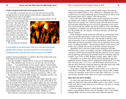#### **Could a compassionate God torture people forever?**

Is it possible to reconcile this view of a God who terrorizes people through the fear of eternal torment in hell with the compassionate and merciful God we meet in the Bible?

God is a God of love who does not want any to perish (2 Peter 3:9). He

tells us to love our enemies (Matthew 5:44). "He makes His sun rise on the evil and on the good, and sends rain on the just and on the unjust" (verse 45). Yet the traditional view of hell would have us believe that God vengefully torments evil people *for all eternity—*not a few decades or even centuries, but for an *infinite* length of time.

The idea that God sentences

*Is it possible to reconcile this view of a God who terrorizes people with the fear of eternal torment in hell with the compassionate and merciful God we meet in the Bible?*

people to eternal punishment is so repulsive that it has turned some away from belief in God and Christianity.

One such example is Charles Darwin. In his private autobiography he wrote: "Thus disbelief crept over me at a very slow rate, but was at last complete . . . I can indeed hardly see how anyone ought to wish Christianity to be true; for if so, the plain language of the text seems to show that the men who do not believe . . . will be everlastingly punished. And this is a damnable doctrine" (quoted by Paul Martin, *The Healing Mind: The Vital Links Between Brain and Behavior, Immunity and Disease,* 1997, p. 327).

The problem is not that the Bible teaches this "damnable doctrine," but that men have *misunderstood* what the Bible says.

Other aspects of the traditional teaching of hell simply offend the senses. One such belief is that righteous people, who are saved, will be able to witness the torments of the wicked. As one author explains the view some hold, "part of the happiness of the blessed consists in contemplating the torments of the damned. This sight gives them joy because it is a manifestation of God's justice and hatred of sin, but chiefly because it provides a contrast which heightens their awareness of their own bliss" (Walker, p. 29).

This scenario is especially revolting for several reasons. According to

such twisted reasoning, parents would inevitably witness the suffering of their own children and vice versa, relishing in it. Husbands and wives would feel joy in seeing unbelieving spouses tortured forever. Worst of all, the doctrine paints God as sadistic, cruel and merciless.

Those who insist that the Bible teaches eternal torment by fire should ask whether such a belief is consistent with what the Bible teaches us about God. For example, how could God justly deal with those who have lived and died without having ever received an opportunity to be saved? This would include the millions who died as babies as well as the billions of unbelievers or idolaters who lived and died never knowing God or His Son. Regrettably, the vast majority of all those who have ever lived fall into this category.

Some theologians reason around this difficulty by assuming that those who never had the opportunity to know God or hear the name of Jesus Christ will be given a sort of free pass. The rationale is that since their state of ignorance is due to circumstances beyond their control, God will admit them into heaven regardless of their lack of repentance. If true, this raises a troubling possibility—that missionary efforts to such areas could be the cause of people who do not accept their teachings being lost!

Quandaries such as this have painted many theologians and other Christians into a corner. Accordingly, some have challenged the traditional concept of a hell of eternal torment through the centuries. "In every generation people keep questioning the orthodox belief in everlasting conscious torment" (*Four Views on Hell,* William Crockett, editor, 1996, p. 140).

Nevertheless, as we have seen, church councils through the ages have upheld the doctrine. Firmly rooted in traditional Christian belief, it's an idea that will not go away. A *U.S. News and World Report* poll from not too long ago shows that more Americans believe in hell today than in the 1950s or even the 1980s and early 1990s (Jan. 31, 2000, p. 46).

The prospect of hell will continue to haunt people. As *U.S. News and World Report* concluded, "Hell's powerful images will no doubt continue to loom over humanity, as they have for more than 2,000 years, as a grim and ominous reminder of the reality of evil and its consequences."

#### **More than one** *hell* **in the Bible**

*Photo illustration by Shaun Venish/iStockphoto*

Photo illustration by Shaun VenishliStockphoto

So what is the truth about hell? What does the Bible really teach? Many are surprised to learn that the Bible speaks of *three* hells—but not in the sense that is widely believed. Let us discover why there is so much confusion about hell.

From the original languages in which the Bible was written, one Hebrew word and three Greek words are translated "hell" in our Englishlanguage Bibles. The four words convey three different meanings.

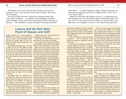The Hebrew word *sheol,* used in the Old Testament, has the same meaning as *hades,* one of the three Greek words translated "hell" in the New Testament.

*The Anchor Bible Dictionary* explains the meaning of both words: "The Greek word Hades . . . is sometimes, but misleadingly, translated 'hell' in English versions of the N[ew] T[estament]. It refers to the place of the dead . . . The old Hebrew concept of the place of the dead, most often

# **Lazarus and the Rich Man: Proof of Heaven and Hell?**

Many interpret one of Jesus' parables to mean that people have immortal souls that go to heaven or hell immediately at death. But does this parable really say that? Let's goes to them from the dead, they will repent.' examine the matter, paying close attention to the historical context.

a certain rich man who was clothed in purple and fine linen and fared sumptuously every day. But there was a certain beggar named Lazarus, full of sores, who was laid at his gate, desiring to be fed with the crumbs which fell from the rich man's table. Moreover the dogs came and licked It was never intended to be understood literally. his sores.

by the angels to Abraham's bosom. The rich man also died and was buried. And being in torments in Hades, he lifted up his eyes and saw Abraham afar off, and Lazarus in his bosom. Then he cried and said, 'Father Abraham, have mercy on me, and send Lazarus that he may dip the tip of his finger in this flame.'

"But Abraham said, 'Son, remember that in your lifetime you received your good things, and likewise Lazarus evil things; but now he is comforted and you are tormented. And besides all this, between us and you there is a great gulf fixed, so that those who want to pass from here to you cannot, nor can those from there pass to us.'

"Then he said, 'I beg you therefore, father, that you would send him to my father's house, for I have five brothers, that he may testify to them, lest they also come to this place of torment.'

"Abraham said to him, 'They have Moses and the prophets; let them hear them.'

"And he said, 'No, father Abraham; but if one

Jesus presents the following story: "There was though one rise from the dead'" (Luke 16:19-31). "But he said to him, 'If they do not hear Moses and the prophets, neither will they be persuaded

When we look at this account in light of other scriptures and in its historical context, it becomes apparent that this is an allegory, a familiar story of the time that Jesus uses to point out a spiritual lesson to those who knew the law but did not keep it.

"So it was that the beggar died, and was carried discussing this passage in *The Victor Bible Back-*Bible language expert Dr. Lawrence Richards, in *ground Commentary, New Testament,* explains that Jesus used contemporary Jewish thought about the afterlife (which by this time was influenced by pagan mythology) to point out a spiritual lesson about how we view and treat others.

in water and cool my tongue; for I am tormented of the dead, was "thought to be divided into two In this view of the afterlife, Hades, the abode compartments" and "conversations could be held between persons" in the abode of the righteous and those in the abode of the unrighteous. "Jewish writings also picture the first as a verdant land with sweet waters welling up from numerous springs," separated from the second, which was described as a parched and dry land. These elements show up in Christ's allegory.

> "In Christ's story God was the beggar's only source of help, for the rich man was certainly not going to do a single thing for him! . . . It is important to see this parable of Jesus as a continuation of His

called Sheol . . . is usually translated as Hades*,* and the Greek term was naturally and commonly used by Jews writing in Greek" (1992, Vol. 3, p. 14, "Hades, Hell").

Both *sheol* and *hades* refer simply to *the grave.* A comparison of an Old Testament and a New Testament scripture confirm this. Psalm 16:10 says, "For You will not leave my soul in Sheol, nor will You allow Your Holy One to see corruption." In Acts 2:27, the apostle Peter quotes this

conflict with the Pharisees over riches. Christ has When the Pharisees sneered, Jesus responded, God's sight' (16:15).

"There's no doubt that the Pharisees remained unconvinced . . . And so Christ told a story intended to underline the importance of what He had just said . . .

"During this life the wealthy man would surely have been featured on the 1980s TV program. 'Lifestyles of the Rich and Famous.' The cameras its decorative wrought iron gates . . . and the fabulous feasts he held for his important friends.

"As the TV equipment was taken into the rich man's home, a cameraman might have stumbled over the dying beggar, destitute and abandoned just outside the rich man's house . . . Surely he was beneath the notice of the homeowner, who never gave a thought to the starving man just outside, though all Lazarus yearned for was just a as he did. Again Abraham refuses. They have crumb from the overladen tables.

"If we look only at this life, the rich man seems to be both blessed and fortunate, and the poor man, rejected and cursed. There is no question dead . . . which state people would highly value, and which they would find detestable.

is by 'Abraham's side,' a phrase which pictures these men pretend to honor . . . him reclining in the place of honor at a banquet man finds himself in torment, separated from the place of blessing by a 'great chasm' (16:26). Even though he begs for just one drop of water, Abraham sadly shakes his head. No relief is possible—or appropriate! . . .

said, 'You cannot serve God and Money' (16:13). and had used them selfishly for his benefit 'What is highly valued among men is detestable in T[estament] for the rich to share their good things "The rich man had received his good things, alone. Despite frequent injunctions in the O[ld] with the poor, this rich man's indifference to Lazarus showed how far his heart was from God and how far his path had strayed from God's ways. They were his riches, and he would use them only for himself. Ah, how well the rich man depicts those Pharisees who 'loved money' and who even then were sneering at Jesus!

would have focused on his marble mansion with Pharisees simply cannot love God and Money. "And so Jesus' first point is driven home. You Love for Money is detestable to God, for you will surely be driven to make choices in life which are hateful to Him. A love of money may serve you well in this life. But in the world to come, you will surely pay.

> "But Jesus does not stop here. He portrays the rich man as appealing to Abraham to send Lazarus to warn his brothers, who live as selfishly 'Moses and the Prophets' (16:31), that is, the Scriptures. If they do not heed the Scriptures they will not respond should one come back from the

"But then, Jesus says, both men died. And Pharisees and teachers of the Law to Jesus' words suddenly their situations are reversed! Lazarus reflect a hardness to the Word of God itself, which "In essence then Christ makes a stunning charge: the hardness and unwillingness of the

that symbolizes eternal blessedness. But the rich take this reality seriously, it will affect the way we "This entire chapter calls us to realize that if we view and use money, and the way we respond to the poor and the oppressed" (1994, pp. 193-195). This is the point of the allegory Jesus uses, Dr. Richards explains, not to teach the popular (but erroneous) idea of heaven and hell.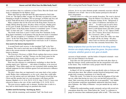verse and shows that it is a reference to Jesus Christ. Here the Greek word *hades* is substituted for the Hebrew *sheol.*

Where did Christ go when He died? His spirit returned to God (Luke 23:46; see "The Spirit in Man" on page 14). His body was placed in a tomb belonging to Joseph of Arimathea. The two passages, in Psalms and Acts, tell us Jesus' flesh did not decay in the grave because God resurrected Him.

Many scriptures that use the term *hell* in the King James Version are simply talking about the grave, the place where everyone, whether good or evil, goes at death. The Hebrew word *sheol* is used in the Old Testament 65 times. In the King James Version it is translated "grave" 31 times, "hell" 31 times and "pit"—a hole in the ground—three times.

The Greek word *hades* is used 11 times in the New Testament. In the King James translation, in all instances but one the term *hades* is translated "hell." The one exception is 1 Corinthians 15:55, where it is translated "grave." In the New King James Version, the translators avoided misconceptions by simply using the original Greek word *hades* in all 11 instances.

#### **One word is for demon imprisonment**

A second Greek word, *tartaroo,* is also translated "hell" in the New Testament. This word is used only once in the Bible (2 Peter 2:4), where it refers to the current restraint or imprisonment of the fallen angels, otherwise known as demons.

The *Expository Dictionary of Bible Words* explains that *tartaroo* means "to confine in Tartaros" and that "Tartaros was the Greek name for the mythological abyss where rebellious gods were confined" (Lawrence Richards, 1985, "Heaven and Hell," p. 337).

Peter uses this reference to contemporary mythology to show that the sinning angels were "delivered . . . into chains of darkness, to be reserved for judgment." These fallen angels are now restrained while awaiting their ultimate judgment for their rebellion against God and destructive influence on humanity.

The place where they are imprisoned is not some dark or fiery netherworld. Rather, their confinement is *on the earth,* where they wield influence over the nations and over individuals. The Gospels record that Jesus Christ and His apostles had very real encounters with Satan and His demons (Matthew 4:1-11; 8:16, 28-33; 9:32-33; John 13:26-27). Jesus even referred to Satan as the *ruler* of this world (John 12:31; 14:30; 16:11).

The term *tartaroo* applies only to demons. Nowhere does it refer to a fiery hell in which human beings are punished after death.

#### **Another word for burning—burning up, that is**

Only with the remaining word translated "hell," the Greek word

*gehenna,* do we see some elements people commonly associate with the traditional view of hell—but *not* in the manner portrayed in the hell of men's imagination.

*Gehenna* refers to a valley just outside Jerusalem. The word is derived



from the Hebrew *Gai-Hinnom,* the Valley of Hinnom (Joshua 18:16). "Religiously it was a place of idolatrous and human sacrifices . . . In order to put an end to these abominations, [Judah's King] Josiah polluted it with human bones and other corruptions (2 Kgs. 23:10, 13, 14)" (Spiros Zodhiates, *The Complete Word Study Dictionary New Testament,* 1992, p. 360).

At the time of Jesus this valley was what we might call the city dump—the place where trash was thrown and consumed in the fires that constantly burned there. The

*Many scriptures that use the term* hell *in the King James Version are simply talking about the grave, the place where everyone, whether good or evil, goes at death.*

carcasses of dead animals—and the bodies of despised criminals—were also cast into Gehenna to be burned.

Jesus thus uses this particular location and what took place there to help His listeners clearly understand the fate the unrepentant will suffer in the future. They would have easily grasped what He meant.

#### **Immortal worms in hell?**

*iStockphoto*

Stockphoto

In Mark 9:47-48, for example, Jesus specifically refers to *Gehenna* and what took place there. But without a proper historical background, many people draw erroneous conclusions as to what He said.

Notice His words: "It is better for you to enter the kingdom of God with one eye, rather than having two eyes, to be cast into hell [*gehenna*] fire where 'their worm does not die and the fire is not quenched.'" Any inhabitant of Jerusalem would have immediately understood what Jesus meant, since Gehenna—the Valley of Hinnom—was just outside the city walls to the south.

Without this understanding, people commonly end up with several misconceptions about this verse. Some believe the "worm" is a reference to pangs of conscience that condemned people suffer in hell: "'The worm that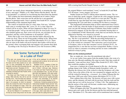dieth not' was nearly always interpreted figuratively, as meaning the stings of envy and regret" (Walker, p. 61). Many believe that the phrase "the fire is not quenched" is a reference to ever-burning fires that torture the damned.

This scripture has been notoriously interpreted out of context. Notice that the phrase "their worm does not die and the fire is not quenched" appears in quotation marks. Jesus is quoting from Isaiah 66:24. A proper understanding of His statement begins there.

The context in Isaiah 66 refers to a time when, God says, "all flesh shall come to worship before Me" (verse 23). It is a time when the wicked will be no more. What will have happened to them? In verse 24 we read that people "will go out and *look upon the dead bodies* of those who rebelled against me; their worm will not die, nor will their fire be quenched, and they will be loathsome to all mankind" (NIV).

Notice that in this verse Jesus notes that the bodies affected by the worms are *dead.* These are not living people writhing in fire. When Jesus returns, He will fight those who resist Him (Revelation 19:11-15). Those who are slain in the battle will not be buried; their bodies will be left on the ground, where scavenging birds and maggots will consume their flesh.

According to the *Theological Wordbook of the Old Testament* (1980)*,*

# **Are Some Tortured Forever in a Lake of Fire?**

"The devil, who deceived them, was cast of fire *will be destroyed*. He will perish. His into the lake of fire and brimstone where *punishment* will be eternal. But he will not be the beast and the false prophet are [or *were tormented* for eternity. cast, as many acknowledge this should be rendered]. And they will be tormented day and devil being cast into the lake of fire at the night forever and ever" (Revelation 20:10).

tormented for eternity?

beings. While still alive, they will be cast into the lake of fire. "Then the beast was captured, and with him the false prophet who worked cohorts as well (compare Matthew 25:41). signs in his presence, by which he deceived those who received the mark of the beast and those who worshipped his image. These two brimstone" (Revelation 19:20).

48 that any human being thrown into the lake point soon after the casting into the fire.

into the lake of fire and brimstone where *punishment* will be eternal. But he will not be

Does this verse say that these two end-time to the Beast and False Prophet being cast in individuals, the Beast and False Prophet, will be is only parenthetical here—as they will have The Beast and False Prophet are human They will not still be burning there. Thus being Revelation 20:10 is speaking of Satan the end of Christ's 1,000-year reign. Reference died when that happened 1,000 years earlier. tormented "forever and ever" applies principally to Satan—and presumably to his demonic

were cast alive into the lake of fire burning with the ages of the ages." While this might mean for We see from Malachi 4:1-3 and Mark 9:47- of the ages, which would allow for an ending Furthermore, it should be pointed out that the Greek phrase translated "forever and ever" here, *eis tous aionas ton aionon,* literally means "unto eternity, it could also mean until the culmination

the original Hebrew word translated "worm" in Isaiah 66:24 and Mark 9:47-48 means "worm, maggot, [or] larvae."

Neither Isaiah nor Christ is talking about immortal worms. The vermin of which they speak, maggots, would not die *while* maggots because, sustained with flesh to eat, they would live to turn into flies. The flies would then lay eggs that hatch into more maggots (the larvae of flies), perpetuating the cycle until there is nothing left for them to consume.

This background information helps us better understand Jesus Christ's words. In His day, when the bodies of dead animals or executed criminals were cast into the burning trash heap of Gehenna, those bodies would be destroyed by maggots, by the fires that were constantly burning there or by a combination of both. Historically a body that was not buried, but was subjected to burning, was viewed as accursed.

What does Jesus mean in Mark 9:48 when He quotes Isaiah in saying, "the fire is not quenched"? With the preceding background we can understand. He means simply that the fire will burn until the bodies of the wicked are consumed. This expression, used several times in Scripture, refers to fire that consumes *entirely* (Ezekiel 20:47). An unquenched fire is one that has not been extinguished. Rather, it *burns itself out* when it consumes everything and has no more combustible material to keep it going.

#### **When are the wicked punished?**

But, we might ask, *when* does this punishment take place?

As we saw earlier, Jesus quotes from the prophet Isaiah, who wrote of a time *after* the Messiah establishes His reign on earth. Only then would all humanity "come and bow down" before Him (Isaiah 66:23, NIV). Only then would this prophecy be fulfilled.

Jesus uses a common site of trash disposal in His day—the burning garbage dump in the Valley of Hinnom outside Jerusalem's walls—to illustrate the *ultimate fate* of the wicked in what the Scriptures call a lake of fire. Just as the refuse of the city was consumed by maggots and fire, so will the wicked be burned up—*consumed*—by a future Gehenna-like fire more than 1,000 years after Christ returns (Revelation 20:7-9, 12-15).

Peter explains that at this time "the heavens will pass away with a great noise, and the elements will melt with fervent heat; both the earth and the works that are in it will be *burned up"* (2 Peter 3:10). The implication is that the surface of the earth will become a molten mass, obliterating any evidence of human wickedness.

What will happen after that? The apostle John writes: "Now I saw a new heaven and a new earth, for the first heaven and the first earth had passed away" (Revelation 21:1). The entire earth will be transformed into a suitable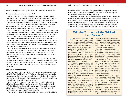abode for the righteous who, by that time, will have inherited eternal life.

#### **The destruction of soul and body in hell**

Another place where Jesus speaks of *gehenna* fire is Matthew 10:28: "And do not fear those who kill the body but cannot kill the soul. But rather fear Him who is able to destroy both soul and body in hell [*gehenna*]."

We should notice that Jesus does not speak of people suffering everlasting torment. He says that God can *destroy—annihilate—*both the body and soul in Gehenna fire. (To learn more, see "Do Some Bible Verses Teach We Have an Immortal Soul?" beginning on page 8.)

Jesus here explains that, when one man kills another, the resulting death is only temporary because God can raise the victim to life again. But when *God* destroys one in hell (*gehenna*), the resulting death is eternal. There is no resurrection from this fate, which the Bible calls "the second death."

The Bible explains that unrepentant sinners are cast into the lake of fire, or *gehenna,* at the end of the age. "But the cowardly, unbelieving, abominable, murderers, sexually immoral, sorcerers, idolaters, and all liars shall have their part in the lake which burns with fire and brimstone, which is the second death" (Revelation 21:8).

This verse and others like it show that the doctrine of universal salvation is false. Not everyone will be saved. Some will, in the end, refuse to repent—and they will suffer punishment. But that punishment is not to burn in fire without ending. Rather, it is to die a death from which there is no resurrection.

As we discussed earlier, the wicked will be destroyed. They will not live for eternity in another place or state of everlasting anguish. They will reap their destruction in the lake of fire at the end of the age. They will be consumed virtually instantaneously by the heat of the fire and will never live again.

#### **The wicked burned to ashes**

Another passage that graphically illustrates the utter destruction of the wicked is found in Malachi 4:1: "'For behold, the day is coming, burning like an oven, and all the proud, yes, all who do wickedly will be stubble. And the day which is coming shall *burn them up*,' says the LORD of hosts, 'that will leave them neither root nor branch.'"

The time setting is the end, when God will bring retribution on the wicked for their rebellious, reprehensible ways. To those who surrender to God and live in obedience to Him, God says: "'You shall trample the wicked, for *they shall be ashes under the soles of your feet* on the day that I do this,' says the LORD of hosts" (verse  $3$ ).

God, speaking through the prophet Malachi, makes clear the ultimate

fate of the wicked. They are to be uprooted like a nonproductive tree, leaving not so much as a root or twig. They will be consumed by the flames of the lake of fire, leaving only ashes.

The Bible does teach that the wicked will be punished by fire—but *not* the mythical hell of men's imagination. God is a God of mercy and love. Those who willfully choose to reject His way of life, characterized by obedience to His law of love (Romans 13:10), will *die,* not suffer forever. They will be consumed by fire and forgotten. They will not be tortured for all eternity. Remember that eternal life is something that God must grant, and He

# **Will the Torment of the Wicked Last Forever?**

they have no rest day or night, who worship the beast and his image, and whoever receives the mark of his name" (Revelation 14:10-11).

At first glance this passage may seem to confirm the traditional idea of a seething, sulfurous hellfire, mercilessly and eternally tormenting hold to a preconceived mental picture of hell, we massive fires and a huge amount of smoke. can quickly grasp that this passage describes a considerably different circumstance.

First, notice the setting for this passage. From the context we see that the events it describes *occur on earth* amid earth-shaking events and disasters occurring immediately before or at Christ's return, *not* in hell or the afterlife at all. This warning describes the punishment that will befall all the earth's inhabitants "who worship the beast and his image, and whoever receives the mark of his name."

Chapter 13 describes this "beast"—an endtime dictatorial superpower opposed to God and its mark. Those who accept this mark show that their allegiance is to this powerful system rather than God, and in chapter 14 of God's anger. God reveals the consequences of that choice warning of the terrifying punishments that will precede Christ's return (see verses 14-20 and the following two chapters).

"He shall be tormented with fire and brim-<br>
stone in the presence of the holy angels these terrifying events ascends forever—it does and in the presence of the Lamb. And the smoke not say that the people's *actual torment* continues of their torment ascends forever and ever; and forever. David wrote in Psalm 37:20 that "the Notice also in this passage that the *smoke* from wicked shall *perish* [not be tortured forever in hell]

. . . Into smoke they shall *vanish away."* 

helpless immortal souls. But if we don't already sive earthquake. All these events will generate The smoke is also no doubt associated with God's wrath poured out on earth as described in Revelation 16—which includes widespread destruction, great heat, warfare and a mas-

The properties of smoke are such that it "ascends forever and ever" (14:11)—meaning that nothing will prevent or stop it. Being a column of heated gas containing tiny, suspended particles, it rises, expands and eventually dissipates. Moreover, the Greek phrase translated "forever and ever" does not have to mean for all eternity. It could just refer to this happening in the culmination of the ages.

The reference in verse 11 to the wicked receiving "no rest day or night" speaks of those who continue to worship the beast and his image during this time. They will be in constant terror and fear for their lives, and thus aren't able to find a moment's rest during this terrifying time

Rather than describing eternal torment of people in hell, from the context we see that this passage is actually describing specific events to take place on earth at the end of this age.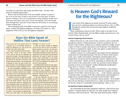will grant it to only those who repent and follow Him—not those who persist in rebellion against Him.

Realize that the final death of the incorrigibly wicked in a lake of fire is an act not only of justice, but of mercy on God's part. To allow them to continue to live on in unrepentant, eternal rebellion would cause themselves and others only great sorrow and anguish. God will not put them through that, much less torture them for all eternity in excruciating torment without end.

The encouraging truth of the Bible is that God is indeed a God of great mercy, wisdom and righteous judgment. As Psalm 19:9 assures us, "The judgments of the LORD are true and righteous altogether."

# **Does the Bible Speak of Hellfire That Lasts Forever?**

Two verses that many assume prove the wicked are to be eternally tortured in do they? Let's take a closer look. Wo verses that many assume prove the (Revelation 2:11; 20:6, 14; 21:8).

sheep from the goats. The sheep represent the righteous (verses 34-40). At His return He sets to assemble on Jesus' left hand. He then con-the rest of the Scriptures. signs the goats to "the everlasting fire prepared for the devil and his angels" (Matthew 25:41).

end, or does it have another meaning?

In Matthew 25:46 Jesus spoke in a single sentence of everlasting (*aionios*) punishment and of life eternal (*aionios*). Since the righteous will be given eternal, or everlasting, life, righteous. But this cannot be reconciled with where, they suffer death—the second death it actually burns.

hellfire are Matthew 25:41 and 25:46. But 25:46 that fits with the rest of the Bible is First, notice the setting to which they refer— hilates them—renders them forever extinct. when Jesus "comes in His glory" (verses The resulting punishment of being cast into the 31-32). We are told that He separates the *aionios* fire is a *one-time* event. It is a permanent the sheep at His right hand. The goats in this punish*ing* that continues forever without end. instance represent sinners. They are appointed This is the only explanation that agrees with A plain and simple meaning of Matthew that the wicked are cast into a fire that annipunish*ment,* the *results* of which will remain forever—that is, eternal death. It is not *ongoing*

The word *everlasting* is translated from the God's destruction of two cities, Sodom and Greek word *aionios*. The key to understanding Gomorrah, for their wickedness: "Then the this verse is knowing *what* will occur everlast- Lorp rained brimstone and fire on Sodom and ingly. Does it refer to a fire that tortures without Gomorrah" (Genesis 19:24). They were utterly An additional point needs to be made regarding the meaning of *aionios.* Genesis 19 describes destroyed—consumed by fire.

many theologians believe the punishing of the and Gomorrah are not still burning. In the case wicked must last as long as the life given to the of these cities and in the case of the wicked, the statement that those cast into the lake of and completely destroys. But the eternal aspect fire *perish*—they are killed. As explained else- of the fire is its everlasting *effect*, not how long In the New Testament, the book of Jude describes these cities as "suffering the vengeance of eternal [*aionios*] fire" (verse 7). Yet it is obvious that the fires that destroyed Sodom who are consigned to *aionios* fire, the fire burns

# Is Heaven God's Reward for the Righteous?

I<br>W s the reward of the righteous an eternity in heaven? It seems almost four out of five Americans believe it is (*National Review,* Nov. 9, 1998). Through the centuries this has been the hope taught by traditional Christianity.

What would going to heaven be like? What would we do there for all eternity? More fundamentally, does the Bible actually present heaven as the reward of those who are saved?

#### **Human imaginings about heaven**

Beliefs about heaven as the reward of the saved have varied considerably through the centuries. Traditional pictures of heaven sometimes show an entrance with a rainbow arching over it, perhaps marked by a bridge of gold or glass. St. Peter is usually represented as the doorkeeper. The inhabitants are shown accompanied by angels, or they may appear as angels themselves, having apparently sprouted a pair of wings.

Another common view in the popular consciousness has the inhabitants sitting about on clouds plucking harps. The decor of heaven often features jewels, stars, candles and trumpets. Theologians and philosophers have adapted their concepts of heaven through the centuries, influenced by the society around them. "Monks and friars, depending on whether they felt more at home in the countryside or in the city, preached a heaven defined primarily in terms of environment" (Colleen McDannell and Bernhard Lang, *Heaven: A History,* 1988, p. 108).

Based in part on their own experiences and preferences, some religious teachers have foreseen a rural setting while others have imagined an urban paradise. For the latter, "heaven became a city . . . or the visionary experience of celestial castles. Accounts of the other world resonate with descriptions of golden streets, jewelled buildings, and richly dressed residents" (ibid.).

Some in the Renaissance era envisioned a spicier paradise: "In its boldest form, the new theology envisioned heaven as a place of erotic human love in the bucolic setting of a comfortable natural landscape" (ibid., p. 112).

#### **An eternity in heaven doing what?**

The relationship the heavenly inhabitants might have with God has been debated. A modern author describes the way many people have imagined interaction with God in heaven: "There the saints shall eternally, without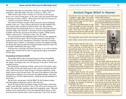interruption, feast their eyes upon Him, and be ever viewing His glorious perfections" (John MacArthur, *The Glory of Heaven,* 1996, p. 221).

Others believe that, if this is all they are to do forever, heaven may prove to be a pretty boring place. As the same writer just quoted from puts it, the prayer of many could be: "Please God, don't take me to heaven yet . . . I haven't even been to Hawaii!" (p. 49).

The modern Christian concepts of heaven present a diverse landscape. Another writer says: "I have a theory that heaven will offer faithful Christians whatever they sacrificed on earth for Jesus' sake. My mountainclimbing friend who intentionally lives in a slum area of Chicago will have Yosemite Valleys all to himself. A missionary doctor in the parched land of Sudan will have her own private rain forest to explore" (Philip Yancey, "What's a Heaven For?" *Christianity Today,* Oct. 26, 1998).

For many people the most important aspect of heaven is the opportunity to see their loved ones again: "By far the most persuasive element of the modern heaven for many contemporary Christians is the hope of meeting the family again. Countless 'in memoriam' sections of newspapers throughout Europe and America reflect the belief that families parted by death will be reunited" (McDannell and Lang, p. 309).

God does have a plan that will reunite loved ones, as we will see. But the popular ideas of heaven fall far short of capturing the majesty and purpose of God's plan.

#### **Do people go to heaven at death?**

The popular belief is that a good person goes to heaven immediately when he or she dies. But for the traditional Christian, things aren't quite that simple. According to this view, the body goes to the grave, but the soul ascends to heaven.

The Westminster Confession of Faith, written in the 17th century, states: "The bodies of men after death return to dust, and see corruption; but their souls, (which never die nor sleep,) having an immortal subsistence, immediately return to God who gave them. The souls of the righteous, being then made perfect in holiness, are received into the highest heavens, where they behold the face of God in light and glory, waiting for the full redemption of their bodies."

But does this concept agree with the Bible? Do the Scriptures indeed state that righteous people go to heaven when they die?

David, the king of Israel and author of many of the Psalms, whom God called "a man after My own heart" (Acts 13:22), did *not* go to heaven at his death. The apostle Peter, speaking under God's inspiration, states, "Men and brethren, let me speak freely to you of the patriarch David, that *he is both dead and buried,* and his tomb is with us to this day" (Acts 2:29). He then

The idea that "souls" go to heaven at death the same wild guesses in its convulsive effort to originated in pagan religion, not the Bible. solve the riddle of existence... originated in pagan religion, not the Bible. solve the riddle of existence . . . A brief look at ancient history reveals that the people of Babylon, Egypt, and other kingdoms alone among the Babylonians and Egyptians, imagined such an afterlife.

According to *This Believing World,* by Lewis Greece . . . These mysteries [came] down from Browne, the Egyptian god Osiris was thought Thrace or across the sea from Egypt and Asia to have been killed, resurrected and taken to Minor . . . They declared that for every man, no heaven: "Osiris came to life again! He was matter how poor or miraculously resurrected from death and taken vicious, there was a up to heaven; and there in heaven, so the myth place in heaven. All

"In very early times that idea flourished not but also among the barbaric tribes in and around

## *The Egyptian god Osiris was thought to have been killed, resurrected and taken to heaven.*

declared, he lived on eternally" (1946, p. 83).

Browne explains: "The Egyptians reasoned to be 'initiated' into that if it was the fate of the god Osiris to be the secrets of the resurrected after death, then a way could be cult ... then salfound to make it the fate of man, too . . . The vation was assured bliss of immortality that had formerly been him, and no excess reserved only for kings was then promised of vice and moral to all men . . . The heavenly existence of the turpitude [i.e., depravity] could close the gates dead was carried on in the realm of Osiris, and it was described in considerable detail by the more" (pp. 96-99). Egyptian theologians. It was believed that on death the soul of a man set out at once to reach dying. This world and all it offers has never a Judgment Hall on high . . . and stood before the celestial throne of Osiris, the Judge. There it gave account of itself to Osiris and his forty-two hope of going to heaven at death. Regrettably, associate gods" (p. 84).

If able to satisfy the gods, "the soul was proven true. straightway gathered into the fold of Osiris. But if it could not, if it was found wanting when weighed in the heavenly balances, then it was cast into a hell, to be rent to shreds of the 'Devouress.' For only the righteous souls, only life everlasting" (pp. 86-87).

This idea of men being able to follow their savior-god into heaven was a central focus of the ancient mystery religions. Browne contin-the entire universe and spirit realm as coheirs ues: "Mankind everywhere, in Mexico and Ice-with Christ (compare Romans 8:17; Hebrews land, in Zululand and China, makes more or less 1:1-2; 2:5-11; Revelation 21:7).

Wikimedia Commons *Wikimedia Commons*

one had to do was

of paradise in his face. He was saved forever-

Man has always wanted to live without ever satisfied humanity. For centuries mankind has searched for security and happiness in the too many have embraced beliefs that cannot be

the guiltless, were thought to be deserving of says those who overcome will reign with Him God alone knows the answers to the mysteries of life and death, and He reveals them in His Word, the Holy Bible. Contrary to what so many think, God does not promise eternity in heaven as the reward of the saved. Instead, Jesus in the coming Kingdom of God, which will be established on earth at His return (Revelation 3:21; 5:10; 11:15). Ultimately, they will inherit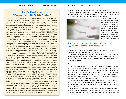# **Paul's Desire to "Depart and Be With Christ"**

God (Acts 14:22; 19:8; 20:25; 28:23, 31). In ness, which the Lord, the righteous Judge, the process he was subjected to persecution, will give to me *on that Day,* and not to me only beatings and several periods of imprisonment. but also to all who have loved His appearing" When he wrote his letter to the Philippians, (2 Timothy 4:6-8). he was enduring a period of house arrest in Rome. Paul knew that the Roman government receive his reward *immediately at death*. He had authority to put prisoners to death. Paul knew what the future might hold for him, whether it be execution on the one hand or his his resurrection. He understood that, since the release on the other.

possible outcomes: "For I am hard-pressed the returning Messiah, Jesus, joining Him between the two, having a desire to depart and along with the other saints at the time of the be with Christ, which is far better. Nevertheless resurrection. to remain in the flesh is more needful for you."

that he believed that at the moment of his death his consciousness would leave his body to join *appearing—*at Jesus' second coming. As Paul Christ in heaven. But is this the case?

let's notice what it does *not* say. It does *not* along with all others who will be resurrected at say *when* or *where* Paul would be with Christ Christ's return. if he departed. Neither is the terminology of departure intended to be geographic—as in leaving the earth to go to heaven. There is no reference to heaven in these verses. To Paul's words. Paul is simply referring to depart- sound, and the dead will be raised incorruptbehind through death.

Christ, but he also wanted to remain with God's the resurrection. people.

dogmatically of what lies ahead, knowing the will seem to him but a mere moment. He will end of his physical life is near and he is ready be with Christ as a glorified son of God in the to depart: "For I am already being poured out as next moment of his consciousness. No wonder a drink offering, and the time of my departure Paul, weary of his sufferings in this life, desired is at hand. I have fought the good fight, I have to depart from it and to be with Christ!

The apostle Paul dedicated his life to finished the race, I have kept the faith. Finally, preaching the gospel of the Kingdom of there is laid up for me the crown of righteouspreaching the gospel of the Kingdom of there is laid up for me the crown of righteous-

In Philippians 1:23-24 he writes of the two in his next waking moment he would be with Paul, then, understood that he was not to knew that if executed, he would go to the grave, and there his remains would lie until the time of dead have no thought processes whatsoever,

Many have assumed from Paul's words here laid up for him a crown of righteousness that Before focusing on what this scripture says, Paul will receive it *at that time,* not before, As he wrote to Timothy, he knew there was he would be given *"on that Day" of Christ's*  noted, Jesus will bring Paul's reward with Him.

conclude otherwise is to read assumptions into an eye, at the last trumpet. For the trumpet will ing from his present, physical life—leaving it ible, and we shall be changed" (1 Corinthians When writing to the Philippians here, Paul reward—his "change"—at Christ's coming. was struggling with two desires. He wanted He also knew that death before that time to be done with his fleshly life and be with would mean "sleep," unconsciousness, until Describing this resurrection, Paul explains to the church in Corinth: "Behold I tell you a mystery: We shall not all sleep, but we shall all be changed—in a moment, in the twinkling of 15:51-52). Paul knew he would receive his

In his second letter to Timothy he speaks tion at the same time as all of Christ's followers The time from Paul's death until his resurrecadds that "David *did not* ascend into the heavens" (verse 34).

David is included in Hebrews 11:32 among those who died in faith, making him one of those of whom verse 39 says, "And all these, having obtained a good testimony through faith, *did not receive the promise."*



The Gospel of John, written about 1,000 years after David's death, states, *"No one has ascended to heaven* but He who came down from heaven, that is, the Son of Man [i.e., Jesus Christ]" (John 3:13). This means that Abraham, Moses, David, the prophets and all other righteous men

### *For many the most important aspect of heaven is the opportunity to see their loved ones again.*

and women who lived before Christ's first coming *did not go to heaven.*  They were buried in the grave as David was.

The view that a person's soul goes to heaven at death—though held by many in good faith—*cannot be found in the Bible.* It results from a misunderstanding of the Scriptures and confusion over what the Bible teaches about the resurrection.

#### **Why a resurrection?**

*Designpics*

Theologians widely acknowledge that the Bible speaks of a resurrection, even if they're not sure what it means or when it takes place. The most common view is that at the resurrection the body rises to be reunited with the soul in heaven. But, as we pointed out earlier, the concept of the immortality of the soul—the soul as existing as something apart from the body—is not biblical. It takes its origins from pagan philosophy and tradition rather than the writers of the Bible.

We might pose this question: If it were true that at the resurrection the body is to rise to be united with the soul in heaven, why would God do things this way? What purpose would the resurrection serve? Why keep the body in the grave?

If the righteous immediately go to heaven at death, why wouldn't God send the complete being—soul and body—to heaven simultaneously, instead of keeping soul and body apart through the ages? For that matter, why even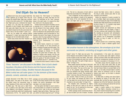# **Did Elijah Go to Heaven?**

Abiblical event many cite to support belief that this heaven the "third heaven" (2 Corinthians the righteous go to heaven when they die 12:2)—showing, as noted, that there are two involves the prophet Elijah. Elijah was a prophet others. It's described as the "third" because, of God in the ninth century B.C. The Bible states being in the spirit realm, it is beyond the other that "Elijah went up by a whirlwind into heaven" two, which are in the physical realm. (2 Kings 2:11). But does this contradict the heaven, that is, the Son of Man"? (John 3:13).

passages can be reconciled easily enough.



biblical event many cite to support belief that this heaven the "third heaven" (2 Corinthians

testimony of John's Gospel, which stated some in proximity to us, is what we call outer space. 900 years after Elijah's time that "no one has It is the domain of the moon, planets, comets, ascended to heaven but He who came down from asteroids, sun and stars. David spoke of this How can we explain this seeming biblical creative handiwork, which he described as "Your discrepancy? A closer look shows that the two heavens, the work of Your fingers, the moon and Careful study shows that *three* "heavens" are Many scriptures mention "the stars of heaven" Another heaven discussed in the Bible, second when he reflected on the awesomeness of God's the stars, which You have ordained" (Psalm 8:3). (Genesis 26:4; Deuteronomy 1:10; 28:62; Isaiah 13:10).

> Yet another heaven, closest to us in proximity, is the envelope of air that surrounds our planet, consisting of oxygen and other gases. This heaven—earth's atmosphere—is mentioned in such passages as Genesis 7:11-12, which describes the great flood of Noah's day: "The windows of heaven were opened. And the rain was on the earth forty days and forty nights." The Bible also speaks of "the birds of heaven," those that fly overhead (Job 35:11; Jeremiah 16:4). To determine which heaven is meant in a Bible

*Three "heavens" are discussed in the Bible. One is God's dwelling place, the place of His throne and the heaven where the resurrected Jesus is today. Another heaven discussed in the Bible is what we call outer space. It is the domain of the moon, planets, comets, asteroids, sun and stars.*

today. Speaking of Christ, who is our High Priest, was taken. Let's notice the proof. the Bible says, "We have such a High Priest,

actually discussed in the Bible. One is God's passage, we must carefully consider the context. dwelling place—the place of His throne—and It was into the lower reaches of this first, closest the heaven where the resurrected Jesus is heaven—the earth's atmosphere—that Elijah

who is seated at the right hand of the throne man named Elisha as a prophet to succeed him of the Majesty in the heavens" (Hebrews 8:1). (1 Kings 19:16). Later, as the two men walked Heaven is specifically called God's dwelling place together, Elijah said to Elisha, "What may I do for (Deuteronomy 26:15). The apostle Paul calls you, before I am taken away from you?" (2 Kings God had earlier told Elijah he was to anoint a Elisha that would allow him to fill Elijah's role.

"Then it happened, as they continued on and removed in the whirlwind. talked, that suddenly a chariot of fire appeared with horses of fire, and separated the two of them; and Elijah went up by a whirlwind into



2:9). This led to a discussion of God's gifts to records that Elijah wrote a letter to Jehoram, the king of Judah, several years after he was

> Notice the sequence of events recorded for us in the Bible. Elijah's last recorded and dated act occurred during the reign of the Israelite king Ahaziah when Elijah told the king he would die for his sins (2 Kings 1:3, 17). Ahaziah's reign lasted only about a year, ca. 850 B.C.

Elijah's removal and replacement by Elisha is then recorded in the next chapter, 2 Kings 2. The story continues with incidents from Elisha's life, including an encounter with Jehoshaphat, king of Judah (2 Kings 3:11-14). Several years later Jehoram, son of Jehoshaphat, succeeded his father as king of Judah, ca. 845 B.C. (2 Kings 8:16).

Jehoram proved to be a wicked king, leading the nation of Judah in rebellion against God's

## *Yet another heaven is the atmosphere, the envelope of air that surrounds our planet, consisting of oxygen and other gases.*

saw him, they said, 'The spirit of Elijah rests on This letter is recorded in 2 Chronicles 21:12-15. Elisha'" (2 Kings 2:15).

Elisha: "Look now, there are fifty strong men with demonstrates. your servants. Please let them go and search for your master, lest perhaps the Spirit of the life following his writing of the letter. But he Lord has taken him up and cast him upon some eventually died, just like the other prophets and mountain or into some valley" (2 Kings 2:16).

safety, so they sent out a party of 50 men to promised (Hebrews 11:39). search for him. The 50 searched for three days but did not find him (2 Kings 2:17).

*Photos, from left: NASA, Designpics*

NASA,  $left$ : mol. Photos,

Designpics

jah was not taken up to live in heaven. The Bible location on earth, not to eternal life in heaven.

heaven" (verse 11). Elijah was now gone. The commandments. A few years into Jehoram's former followers and students of Elijah were now reign, and several years after Elijah's removal, to look to Elisha as their new leader. "Now when Jehoram received a letter *from Elijah* warning the the sons of the prophets who were from Jericho king of dire consequences because of his sins.

Many readers assume that Elijah at that point alive and on earth some years after he was was made immortal and taken to the heaven removed by the whirlwind and replaced by Elisha. where God resides. This was not the case. The God had chosen Elisha to succeed Elijah as His sons of the prophets knew otherwise. They prophet, so He bodily removed Elijah to another knew the whirlwind had simply removed Elijah place, where he continued to live for at least to another location on earth. They exclaimed to several more years—as his letter to Jehoram This letter proves that the prophet was still

The disciples were concerned for Elijah's in faith, not yet receiving the eternal life God had The Bible tells us nothing more about Elijah's righteous men of the Old Testament, who all died

Another passage proves conclusively that Eli-fiery chariot involved transporting him to another Again, a careful reading of the Scriptures shows that Elijah's miraculous removal by a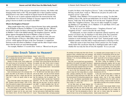have a resurrection? If the soul goes immediately to heaven, why bother with bringing bodies back to life? The inescapable fact is that if popular teaching about heaven is true, there would be no logical reason for the resurrection.

Why do we see so much confusion about how the resurrection fits with the traditional view of heaven? Perhaps it's because support for the idea of going to heaven at death is not found in the Bible!

#### **What is the Kingdom of Heaven?**

Many people believe they will go to heaven because Jesus spoke repeatedly of the Kingdom of Heaven. In Matthew 5:3, for example, He says, "Blessed are the poor in spirit, for theirs is the kingdom of heaven." Three other verses in Matthew 5 refer to the faithful entering "the kingdom of heaven," and the phrase appears throughout the book of Matthew a total of 32 times.

However, note that while Matthew is the *only* biblical writer who uses the term *Kingdom of Heaven,* other Bible writers use the term *Kingdom of God—*which appears 69 times in the New Testament. A comparison between events described in Matthew's Gospel and the other Gospel writers shows that the terms are used interchangeably.

For example, Matthew 5:3 records Jesus' words as: "Blessed are the poor

in spirit, for theirs is the *kingdom of heaven."* Luke, in describing the same blessing, records Jesus' words as: "Blessed are you poor, for yours is the *kingdom of God"* (Luke 6:20).

Similarly, where Matthew 19:14 records Jesus as saying, "Let the little children come to Me, and do not forbid them; for of such is the kingdom of heaven," both Luke 18:16 and Mark 10:14 use the term "kingdom of God" rather than "kingdom of heaven." You can see other examples by comparing Matthew 4:17 and Mark 1:14-15, Matthew 13:31 and Mark 4:30-31, and Matthew 19:23 and Luke 18:24.

So why do we see two different terms—"kingdom of heaven" and "kingdom of God"—used to describe the same thing?

To understand, we must consider an important cultural sensitivity and practice of Christ's day. In obedience to the third of the Ten Commandments, which forbade taking God's name in vain (Exodus 20:7), it was common to avoid routinely using the word "God." Instead people would substitute another word that others would understand as referring to God.

Often this seems to have been Jesus Christ's practice too. For example, shortly before His crucifixion when He is challenged under oath to state whether He was truly the Son of God, He responds: "It is as you said.

# **Was Enoch Taken to Heaven?**

Come people believe Genesis 5:24 and Hebrews heaven" (John 3:13).<br>
States that God took Enoch to heaven. Clearly, Jesus Christ 11:5 declare that God took Enoch to heaven. But is that what these verses say?

God; and he was not, for God took him." Hebrews the apostle John after Christ's return to heaven. 11:5 adds: "By faith Enoch was taken away so that So even as late as this statement, no human he did not see death, 'and was not found, because being—and that includes Enoch—had ascended God had taken him'; for before he was taken he into heaven. had this testimony, that he pleased God."

taken.

that "Scripture cannot be broken" (John 10:35). the Bible cannot contradict another passage.

This same Gospel of John reveals a startling that he died. fact very pertinent to this matter: *"No one* has ascended to heaven *but He who came down*  the men and women of faith listed here, including

Genesis 5:24 tells us that "Enoch walked with is in heaven" lets us know that this was written by Clearly, Jesus Christ was the only human being who had ascended into heaven. The phrase "who

Some erroneously jump to the conclusion that 11:5: "By faith Enoch was taken away *so that he*  Enoch was taken up into heaven, but notice the *did not see death, 'and was not found,* because Bible nowhere says this. It simply says that God God had taken him'; for before he was taken he "took him." It does not specify *where* he was had this testimony, that he pleased God." The Jesus Christ later states in the Gospel of John elsewhere." And the New American Standard One of the points He makes is that one passage of see death"—a better translation than "did not," We later read about Enoch's fate in Hebrews word rendered "taken" can also mean "transferred Bible says this was done "so that he *would not* as we know from the same chapter of Hebrews

*from heaven,* that is, *the Son of Man* who is in Enoch: *"These all died* in faith, *not having received*  Notice in verse 13 the summary given of all of

*the promises,* but having seen them afar off were in a miserable world (compare Isaiah 57:1-2). His assured of them, embraced them and confessed that they were strangers and pilgrims on the earth" (Hebrews 11:13). So Enoch definitely died as well as all the rest.

How, then, can it be that Enoch was transferred elsewhere so he wouldn't see death? God doesn't give us all the details of what happened, but a few scenarios have been proposed that do not conflict with the fact that Enoch died as the Bible says.

It may be that God transported Enoch elsewhere to keep him from being killed at a certain time—perhaps protecting him from martyrdom his announcement of coming divine judgment (see Jude 14-16). God likewise supernaturally transported Elijah and Philip to other places on earth (see 2 Kings 2:11; Acts 8:39).

On the other hand, we should observe that Enoch died young for his time—at age 365 while those before and after him lived into their 800s and 900s. Because of this, some speculate that God "took him" from life prematurely so that he would not have to live out his remaining centuries heaven except Jesus Christ.

next moment of consciousness will be the resurrection. In this case, "so that he would not see death" would refer to his not having to experience the process of dying—his life ending instantly.

Still others, putting the likelihood of Enoch experiencing persecution together with his early death, have concluded that Enoch was murdered **-martyred for his preaching. Enoch being taken** and not found would then refer to God removing his body and burying it—as happened with Moses (Deuteronomy 34:5-6).

at the hands of angry persecutors who didn't like so that he would not see death is taken as In this case, Enoch being taken or transferred separate matter—that of him being spiritually converted, transferred from the world's ways to God's way of living, so that he would not see ultimate death in the lake of fire (compare Colossians 1:13; John 8:51).

> Again, we don't have enough details to know exactly what is intended. But we do know that Enoch did not skip death and go to heaven. He died, and no human being has ascended to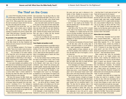# **The Thief on the Cross**

As Jesus Christ hung dying, He told a convicted criminal being crucified with Him, "Assuredly, *not yet ascended to My Father"* (John 20:17). A full I say to you, today you will be with Me in Paradise" three days after His death, Jesus Himself clearly (Luke 23:43). Many people think Jesus assured the man he would go to heaven with Him that very day. But is this really what He meant? s Jesus Christ hung dying, He told a convicted been resurrected: "Do not cling to Me, for *I have* 

before "today" would certainly seem to indicate body was buried while His soul went elsewhere. this. However, notice how an entirely different Jesus died and was buried. He went only to the meaning is conveyed if the comma is placed *after* "today" rather than before: "Assuredly, I say to you been with Jesus in heaven that day, because today, you will be with Me in Paradise."

#### No punctuation in the original Bible texts

We need to first understand that original texts of the Bible (Greek for the New Testament and Hebrew and some Aramaic for the Old Testament) used no punctuation.

*ion Bible:* "None of our modern marks of punctuatury . . . The punctuation of all modern editions 23:42). Notice that the thief expressed no expecit, rests entirely *on human authority,* and has no at the moment they died. weight whatever in determining or even influenc-Appendix 94, p. 136, emphasis in original).

Bible have done an admirable job using punctuation to clarify the meaning of the Scriptures. But this is a comma *before* "today" in Christ's statement to saying something He never intended.

Jesus Himself did not go to paradise or heaven on which we go when we die. the day He died! Instead *He died and was buried in the grave.* Notice the apostle Paul's clear state-him, ". . . you will be with Me *in Paradise."* Underment in 1 Corinthians 15:3-4: "For I delivered to you first of all that which I also received: that *Christ died for our sins* according to the Scriptures, and that *He was buried,* and that *He rose again the third paradeisos,* means an enclosed garden or park. *day* according to the Scriptures."

said that He had not yet ascended to heaven.

Jesus had earlier plainly said that He would lie in the grave for three days and three nights (Mat-

The placement of the comma after "you" and thew 12:40). The Scriptures nowhere say that His grave. Therefore the dying criminal *could not* have *Jesus Himself did not go there then.*

> If Jesus was not telling the man he would be in heaven or paradise on that day, what was He telling him?

#### Future Kingdom and paradise on earth

As Dr. E.W. Bullinger explains in *The Compan-*to carefully check the context. Notice the specific tion are found [in Bible texts] until the ninth cen-me *when You come into Your kingdom"* (Luke of the Greek text, and of all versions made from tation of immediately going to heaven with Jesus A fundamental principle for sound Bible study is wording of the man's request: "Lord, remember

ing the interpretation of a single passage" (1990, the nature of the Kingdom of God—that it would In most cases translators and publishers of the by the Messiah, which many Jews of that day one case where their doctrinal bias has regrettably kingdom of God would immediately appear" (Luke obscured the meaning of Christ's words. By placing 19:11). Jesus also taught His disciples to pray, the dying man rather than *after* it, they have Jesus as explained in our free booklet *The Gospel of the*  We know this because the Bible clearly says *on earth at His return,* not a location in heaven to He may have already known something about be a literal kingdom to be established on earth understood. Jesus Himself had previously given an entire parable "because they thought that the "Your kingdom come" (Luke 11:2). This Kingdom, *Kingdom,* is the Kingdom that Jesus will establish

> Notice also Jesus' response to the man, telling standing the nature of the biblical use of the term *paradise* is crucial to understanding this passage.

Notice what Christ told Mary soon after He had Testament in common use at the time of Christ, The Greek word here translated "paradise," In the Septuagint, a Greek translation of the Old

Garden of Eden. Besides its occurrence in Luke "David *did not* ascend into the heavens." 23, the word is used only two other times in the of God's presence.

in which he "was caught up into Paradise." Paul dwelling place of God.

"in the midst of the Paradise of God" (Revelation 2:7). Revelation 22:2 explains that the tree of life is to be in the New Jerusalem. God will come *from heaven* with this New Jerusalem (Revelation 21:2- 3) after the resurrections of the dead mentioned in God in this paradise.

Furthermore, the restoration of the land of Israel that will take place under the coming reign of Christ is compared in Isaiah 51:3 to the Garden of Eden—again, *paradeisos* in the Septuagint.

Putting together all these scriptures, we can see that the paradise Christ mentioned, in which men will dwell with God in His Kingdom, is to be of all men"—New International Version). *at a future time.*

Again, as noted above, Jesus plainly said He was going to be dead and buried for the following three that He had not yet ascended to heaven.

try to redefine Christ's use of *paradise* to say that this referred to where the righteous dead went before Jesus came—a sort of temporary "holding place" next to hell because heaven wasn't available to them until Christ ascended to heaven after "today" for proper punctuation.) His death and opened the way for them to follow.

Greek mythology about life after death (the Elysian Fields as the section of the Greek underworld for Bible. The idea that the righteous dead of Old Testament times went to a place called "paradise" resurrected is disproved by the apostle Peter's plain statements in Acts 2:29 and 34—almost two months after Christ's death and resurrection detail in the next chapter of this booklet.

this same word was used in references to the - that King David "is both dead and buried" and

New Testament. In both cases it refers to the place see here the truth of the matter. The robber, facing In 2 Corinthians 12:2-4 Paul describes a *vision* Jesus (Luke 23:39-41), sought comfort and assursays this paradise was in "the third heaven"—the I say to you today, you will be with Me in Para-Jesus tells us that "the tree of life" is located heaven, but the Eden-like world to which the man Putting together the relevant scriptures, we can imminent death while being crucified alongside ance. Jesus provided it, telling the man, "Assuredly, dise." The "Paradise" of which Jesus spoke wasn't would be resurrected according to God's plan—as touched on later in this booklet.

#### Hebrew idiom lost in translation

Revelation 20. Only at that time will men dwell with was a "common Hebrew idiom . . . which is con-Part of His reply, "Assuredly I say to you today" stantly used for very solemn emphasis" (*The Companion Bible,* Appendix 173, p. 192). Examples of this Hebrew phrase, worded very similarly to Christ's statement, can be found in Deuteronomy 30:18 ("I announce to you today that you shall surely perish") and Acts 20:26 ("Therefore, I declare to you today that I am innocent of the blood

How do we know this was Christ's meaning? marks we see in our English versions were days and nights, after which He clearly told Mary figure of speech was obscured. (Several other Some theologians and religious denominations them the Rotherham Translation, *The Emphatic* Many centuries later, when the punctuation inserted, Jesus' meaning was distorted by the wrong placement of the comma, and this Hebrew Bible translations and reference works, among *Diaglott,* The Concordant Literal New Testament and *A Critical Lexicon and Concordance to the English and Greek New Testament,* recognize the Hebrew idiom and correctly place the comma after

This concept, however, is straight out of pagan the dying man would be in paradise or heaven good people) and not something taught in the in God's future Kingdom on earth, when the man In conclusion, Jesus never said nor implied that on that very day. Christ was encouraging him by solemnly assuring him that a time would come, would be resurrected and would see Jesus again.

and later ascended to heaven after Jesus was only when we comprehend the time frame of God's This dramatic event can be properly understood plan of salvation and the promised resurrections described in the Bible. These are laid out in greater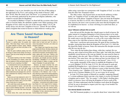Nevertheless, I say to you, hereafter you will see the Son of Man sitting at the right hand of *the Power,* and coming on the clouds of heaven" (Matthew 26:64). Here He clearly used "the Power" as a synonym for God—and this was obviously understood by the priests and religious authorities, who wanted to execute Him for blasphemy.

As recorded in Matthew's Gospel, on about half the occasions when Jesus refers to God the Father, He substitutes another word. When speaking of the Kingdom of God, which was the core of His message (Mark 1:14-15), He nearly always uses the term "kingdom of *heaven"* instead. He isn't talking about a kingdom that existed in heaven to which believers would go, but

## **Are There Saved Human Beings in Heaven?**

I n Revelation 19:1, relaying what he experi-hearing when he recorded in the book of Revof a great multitude in heaven, saying, 'Alleluia! example in particular: Salvation and glory and honor and power to the Lord our God!"

be throngs of saved human beings now living in sand times ten thousand, and thousands of thouto heaven?

can we find such a teaching in the Bible?

To understand the truth on any biblical teachless clear.

*"No one has ascended to heaven* but He who not mean that they are doing so today. came down from heaven, that is, the Son of Man [Jesus Christ] who is in heaven."

died and ascended to heaven—and well after many of Christ's followers had died—but he still affirmed that *no one other than Jesus* had gone and that remains so today. The voices referred to to heaven.

Whose voices, then, could John have been human beings now in heaven.

enced in a spiritual vision, the apostle John elation what he heard and saw? He refers to states, "After these things I heard a loud voice voices many places in the book. Let's notice one

Must the great multitude praising God here the elders; and the number of them was ten thouheaven? Have any human beings ever ascended sands, saying with a loud voice: 'Worthy is the The popular teaching is that when Christians and wisdom, and strength and honor and glory die they immediately go to heaven, where they and blessing!'" (Revelation 5:11-12). So there are take up residence in their permanent abode. But at least hundreds of millions of angels, and the "Then I looked, and I heard the voice of many angels around the throne, the living creatures and Lamb who was slain to receive power and riches voices in Revelation 19 could well be theirs.

ing, we must consider all the passages on a in the book of Revelation was receiving a vision subject. When we do, the truth then usually of the future—with Revelation 19 concerning becomes clear. We must also look at plain events at the time of Christ's return and the biblical statements and passages first, and from resurrection of His followers. Even if verse 1 them understand the meaning of those that are were referring to saved human beings appearing Notice one such clear statement in John 3:13: that time (just after their resurrection), this would Moreover, we should remember that John briefly before God in heaven and praising Him at

John wrote these words decades after Jesus God (Psalm 6:5; 30:9; Isaiah 38:18). Scripture, Indeed, those who have died are still dead and in the grave—unconscious and unable to praise as we have seen, shows that no human being except Jesus Christ has ever entered heaven, in Revelation 19, then, cannot be those of saved

rather using a term that was synonymous with "kingdom of God," as is clear from the other New Testament writers.

The other writers, who focused more on non-Jewish audiences in their books, use "kingdom of God" to make plain what Jesus meant. Thus, Christ's use of the phrase "kingdom of heaven" does not mean the Kingdom is *in* heaven, but that it is of God, who is Himself in heaven. At the same time, however, the term is also accurate in the sense that this Kingdom will be established *from* heaven—as Jesus will bring it to earth from there, as we will see.

#### **Jesus' followers will join Him on earth**

Jesus did not tell His disciples they should expect to dwell in heaven. He spoke instead of a kingdom belonging to God in heaven that is to be established *on the earth* at Christ's second coming. Notice Jesus' explanation that He would come to join His followers *on earth at His return* rather than have them come to live with Him in heaven where He currently resides.

After Jesus' crucifixion and resurrection, He spent 40 days teaching His disciples, instructing them about the Kingdom of God (Acts 1:3). After this He joined His Father in heaven. Notice the instruction His disciples received after He rose into the sky:

"Now when He had spoken these things, while they watched, He was taken up, and a cloud received Him out of their sight. And while they looked steadfastly toward heaven as He went up, behold, two men stood by them in white apparel, who also said, 'Men of Galilee, why do you stand gazing up into heaven? This same Jesus, who was taken up from you into heaven, *will so come in like manner as you saw Him go* into heaven'" (Acts 1:9-11).

Jesus speaks repeatedly of His return to establish the Kingdom of God *on earth* (Matthew 25:31-34; Luke 21:27-31). He will return to earth and establish His Kingdom *here*—not in heaven. In what is commonly called the Lord's Prayer, He instructs His followers to pray to their heavenly Father, *"Your kingdom come"* (Matthew 6:10; Luke 11:2). That kingdom is the true goal of every Christian (Matthew 6:33); we are to pray for its arrival.

In Luke 19:12 Jesus speaks of Himself in a parable, comparing Himself to "a certain nobleman [who] went into a far country to receive for himself a kingdom and to return." The "far country" is His Father's dwelling place, which is in heaven. Jesus will bring the Kingdom of God to earth at His return. (To better understand what the Scriptures teach about the Kingdom of God, be sure to download or request your free copy of our booklet *The Gospel of the Kingdom.*)

#### **Our eternal abode is to be here**

One Old Testament prophecy is so specific about Jesus' return that it tells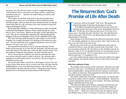us exactly *where* He will arrive back on earth to establish His Kingdom: "And in that day *His feet will stand on the Mount of Olives,* which faces Jerusalem on the east . . . And the LORD shall be King over all the earth" (Zechariah 14:4, 9).

The incident we read about in the book of Acts that describes Jesus' ascension tells us that it was on the Mount of Olives that He last talked with His disciples, and it was from the same mountain that He rose into the clouds before their eyes. He will return to the same mountain to begin His reign in the Kingdom of God.

Recall again that in Matthew 5:3 Jesus said the poor in spirit, the humble, would inherit the Kingdom of Heaven. Then consider that just two verses later, in verse 5, Jesus states, "Blessed are the meek, for they shall inherit *the earth."* How do we reconcile these statements? By understanding that the Kingdom of Heaven, the Kingdom of God, will be established on the earth.

This verse and many others describe the saints ruling *on earth* in God's Kingdom. For example, Revelation 5:10, speaking of the resurrected saints, says: "You have made them to be a kingdom and priests to serve our God, and *they will reign on the earth"* (NIV).

Even beyond that, Revelation 21 and 22 state that ultimately God the Father and the heavenly city of God, the New Jerusalem, will descend to the earth, then renewed. The earth, then, will be the place of God's throne. And the repentant of mankind, then glorified, will dwell with Him forever.

Yet we will not then be confined to the earth but will inherit the entire vast universe and spirit realm as coheirs with Jesus. This amazing truth is explained in our free booklet *What Is Your Destiny?* Be sure to request or download your free copy.

The reward of the saints is eternal life in the Kingdom of God. This will be given when Christ returns, but, as we have seen, Jesus will reign with His faithful followers *on the earth* rather than in heaven. And in the end, even God the Father will dwell with the saved *here.* The glorious future God has planned for us is far beyond any human dreams of life in heaven!

# The Resurrection: God's Promise of Life After Death

**Example 1** a man dies, shall he live again?" (Job 14:14). This question has intrigued the minds of men from ancient times to our day. In the Bible God inspired the patriarch Job not only to pose this important question bu f a man dies, shall he live again?" (Job 14:14). This question has intrigued the minds of men from ancient times to our day. In the Bible God inspired the patriarch Job not only to pose this important question but to give us the answer. Responding to God, Job says: "All the days of [or from] my hard service I will wait, *till my*  work of Your hands" (Job 14:14-15). Job affirmed that the dead *will* live again through a resurrection. ''

Other passages in the Old Testament also affirm the resurrection. Daniel 12:2, for example, prophesies of a time yet future when "many of those *who sleep in the dust of the earth shall awake . . ."*

But the way to eternal life was not fully understood in those days. It remained for Christ to come and fully reveal the truth. Jesus states: "I am the resurrection and the life. He who believes in Me, though he may die, he shall live" (John 11:25). It is through Christ that we can experience our own resurrection from the dead. "For as in Adam all die, even so in Christ all shall be made alive" (1 Corinthians 15:22).

Let's delve further into this matter of the resurrection. What is the impact of this teaching? And what lies ahead in terms of who will be resurrected and when?

#### **More than a glimmer of hope**

The teaching of the good news of the resurrection—that man can escape the power of the grave—set Christianity apart from other first-century religions and philosophies. Among Jewish sects the concept of a resurrection was a subject of controversy. Some dogmatically denied the dead would rise, and others said they would (Acts 23:8).

The world in which Jesus lived, besides being Jewish, was heavily influenced by the culture of the two empires—Greek and Roman—that had successively dominated the region for several centuries. The Greek and Roman religions held little hope for the dead.

"The old Greek belief, and its Roman counterpart, held that once the body was dead the disembodied soul lived in a miserable twilight existence . . . Sadness, silence and hopelessness seemed to brood over the life after death . . . Death was to men of those days the ultimate disaster" (J.B. Phillips, *Ring of Truth: A Translator's Testimony,* 1967, pp. 40-41).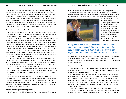The *New Bible Dictionary* affirms the dreary outlook of the day and tells us that the resurrection of Christ gave men more than a glimmer of hope. "The most startling characteristic of the first Christian preaching is its emphasis on the resurrection. The first preachers were sure that Christ had risen, and sure, in consequence, that believers would in due course rise also. This set them off from all the other teachers of the ancient world . . . Nothing is more characteristic of even the best thought of the day than its hopelessness in the face of death. Clearly the resurrection is of the very first importance for the Christian faith" (1996, p. 1010, "Resurrection").

#### **A truth that launched the Church**

The riveting truth of the resurrection of Jesus the Messiah launched the New Testament Church. Preaching on the day of the Church's founding, as recorded in Acts 2, the apostle Peter thundered the good news:

"Men of Israel, hear these words: Jesus of Nazareth, a Man attested by God to you by miracles, wonders, and signs which God did through Him in your midst, as you yourselves also know—Him, being delivered by the determined purpose and foreknowledge of God, you have taken by lawless hands, have crucified, and put to death; *whom God raised up,* having loosed the pains of death, because it was not possible that He should be held by it" (Acts 2:22-24).

The news of the resurrection of Jesus of Nazareth spread like a shock wave through the land. Jesus' disciples were galvanized into action and began to preach with zeal. What had been regarded as a band of renegade Jews soon grew into the thriving Church.

In its early days the Church grew by thousands (Acts 2:41; 4:4). The young Church spread hope—hope of eternal life through the resurrection. The disciples taught under God's inspiration that all who accept Jesus as their personal Savior, repent, are baptized and receive the Holy Spirit will be resurrected (compare Acts 2:38; Romans 8:11).

The resurrection the disciples expected was not some sort of substandard half-life, such as the Greeks and Romans believed lay beyond the grave. The disciples were called to "take hold of the life that is *truly* life" (1 Timothy 6:19, NIV).

Jesus had told them before He was crucified, "Because I live, you will live also" (John 14:19). Jesus had also shared with His disciples His intention for all of mankind: "I have come that they may have life, and that they may have it more abundantly" (John 10:10). Though we may enter into the abundant life of which Christ spoke in this life, it reaches its full realization in the resurrection from the dead.

#### **The resurrection gives meaning to life**

The first-century world held many conflicting ideas about life after death.

Pagan philosophies had clouded the understanding of most people.

Our situation is similar. In the Western world a significant number of people believe nothing lies beyond the grave. Atheism and agnosticism have left their marks. The world needs to hear and understand the original resur-



rection message of Christ and the apostles.

Many people, like those of the ancient world, are anxious about the matter of death. The truth of the resurrection proclaimed by God's Word can counter the anxiety and hopelessness inherent in any approach that excludes God.

Speaking of the return

*Many people, like those of the ancient world, are anxious about the matter of death. The truth of the resurrection proclaimed by God's Word can counter the anxiety and hopelessness inherent in any approach that excludes God.*

of Christ and the accompanying resurrection of the faithful, Paul encourages believers to *"comfort one another* with these words" (1 Thessalonians 4:18). The truth of the resurrection provides comfort for our natural anxiety about death.

#### **The resurrection: Historical fact**

*Designpics*

Why should we believe in a resurrection from the dead? We should take heart because the resurrection of Christ, in whose steps we follow, is a biblically and historically confirmed *fact.*

After being executed and entombed, Jesus' body disappeared, and even His enemies who wanted to refute His resurrection could not explain away the empty tomb. Jesus' resurrection was confirmed by many witnesses including on one occasion 500 people (1 Corinthians 15:6). Peter, speaking on behalf of all the apostles, triumphantly proclaimed, "We are His *witnesses* to these things"—to the fact that "the God of our fathers *raised up Jesus"* (Acts 5:30-32).

Years later Paul similarly said of Jesus that "God raised Him from the dead [and] *He was seen for many days* by those who came up with Him from Galilee to Jerusalem, who are *His witnesses* to the people" (Acts 13:30-31).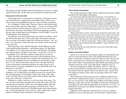The apostles and other members of the early Church *gave their lives* as willing martyrs for this truth—for they knew for certain that it was indeed the truth.

#### **Every person in his own order**

The fact that Jesus was resurrected as a forerunner of the future resurrection of His followers is understood by many Bible readers. What is not so clear to many is that the Bible describes *more than one* future resurrection.

In 1 Corinthians 15, Paul writes: "But now, Christ is risen from the dead, the *first-fruit* of those who have fallen asleep . . . For just as in Adam all die, so also in Christ *all* will be made alive. *But each in his own order;* Christ the first-fruits, then those who belong to Christ at his appearing. And then the end, when he shall hand over his kingdom to God his Father" (verses 20- 24, Montgomery New Testament).

The reference to firstfruits indicates that *other* fruits are to follow—Jesus here followed by those who are His at His return. Paul specifies that God has set an order in His plan by which He will bring up everyone—"all," as it says—in a resurrection. And in this order, not everyone will be resurrected *at the same time.*

Notice that Jesus is here called the firstfruits. Yet His followers are elsewhere called firstfruits themselves—and firstborn (James 1:18; Revelation 14:4; Hebrews 12:23). Thus Christ is the first of the firstfruits. The implication is that yet others will follow as later fruits—at "the end," as we saw in 1 Corinthians 15:24. And other scriptures confirm that, as we will see.

Those who believe that people go to heaven or hell at death have been troubled at the indications they see in Scripture that comparatively few will be saved. They frequently base this assumption on such passages as Matthew 7:13-14: "Enter by the narrow gate; for wide is the gate and broad is the way that leads to destruction, and there are many who go in by it. Because narrow is the gate and difficult is the way which leads to life, and there are few who find it."

In these verses Jesus explains what happens in "this present evil age" (Galatians 1:4), in which God is not calling everyone to be converted *now.* We read in Revelation 12:9 that Satan "deceives the whole world." John writes, "We know that we are of God, and the whole world lies under the sway of the wicked one" (1 John 5:19).

Mankind as a whole is deceived—*for the time being.* Jesus states, "No one can come to Me unless the Father who sent Me draws him; and I will raise him up at the last day" (John 6:44). Jesus plainly indicates here that only certain ones will be in the resurrection to which He refers—those who are specifically called by God. The Bible teaches that in this particular age—the age preceding the return of Christ—God is calling only a small portion of mankind to enter and partake of His Kingdom.

#### **"This is the first resurrection"**

The coming resurrection of those who are called now in this age is further described in the 20th chapter of Revelation.

Let's notice how John describes that resurrection: "I saw thrones on which were seated those who had been given authority to judge. And I saw the souls of those who had been beheaded because of their testimony for Jesus and because of the word of God. They had not worshipped the beast or his image and had not received his mark on their foreheads or their hands. *They came to life and reigned with Christ a thousand years.* (The rest of the dead did not come to life until the thousand years were ended.) *This is the first resurrection.*

"Blessed and holy are those who have part in the first resurrection. The second death has no power over them, but they will be priests of God and of Christ and will reign with him for a thousand years" (Revelation 20:4- 6, NIV). Notice that some are resurrected at the beginning of the 1,000-year reign of Christ—at "the first resurrection." Those in this resurrection of the faithful will be raised immortal and incorruptible to reign with Him, never to die from then on.

But notice that the use of the term *first resurrection* shows that at least one more must follow!

#### **Another resurrection follows**

Indeed, as we can see, the same passage explains in a parenthetical note, "The *rest* of the dead did not come to life until the thousand years were ended." Clearly there is another resurrection 1,000 years *after* the first, and in this resurrection *others* will have the opportunity to receive salvation. They will be called to understand God's truth and His plan during a period sometimes referred to as the "great white throne" judgment (verse 11).

This time of judgment is further described in verse 12: "And I saw the dead, small and great, standing before God, and books were opened. And another book was opened, which is the Book of Life. And the dead were judged according to their works, by the things which were written in the books."

Those resurrected in this group have never completely understood the truth of God. Consider that *the majority of all people who have ever lived have never heard God's truth.* Rather than condemn such people to eternal suffering in a fiery hell, the God of the Bible is much more comforting and encouraging. He will extend the opportunity for eternal life *to everyone*—to relatively few in this age, but to billions of people in the coming second or general resurrection.

Judgment is much more than a final decision to reward or condemn. Judgment is a *process* that takes place over time before a final decision is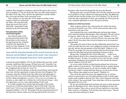rendered. Those brought to a temporary, physical life again in this resurrection (see Ezekiel 37:1-14) will, for the *first* time, have their minds opened to the truth of God's plan. They will have the opportunity to decide whether they will accept and follow God's instruction or not.

After coming to see the truth, they will be judged according to their

response to their new understanding. Many will accept that truth, repent and receive God's gift of eternal life—joining those made immortal in the first resurrection.

#### **Past generations will be resurrected together**

Jesus Himself spoke of this second resurrection period when He said that even the sinners of the long-destroyed city of Sodom would have the opportunity to repent in a future judgment. As He sent His disciples out on a mission



*Wikimedia Commons*

Nikimedia Commons

*Jesus said the long-dead people of the ancient Assyrian city of Nineveh and the biblical "queen of the South" from Solomon's time would rise alongside those from Christ's generation.* 

to preach the gospel (Matthew 10:9-14), He told them that some they would encounter would reject their message. Of these Jesus said, "Assuredly, I say to you, it will be more tolerable for the land of Sodom and Gomorrah in the day of judgment than for that city" (verse 15).

That there is room for tolerance in that day toward Sodom and Gomorrah shows they will have opportunity to repent and enter God's Kingdom. This is because, when they formerly lived, they either never had opportunity to know God or His way or never fully understood what they heard. The time for their calling and judgment is *yet future.* This is not a *second* chance for salvation, as some might view it. Rather, this will be their *first* chance—their first opportunity to act on a clear understanding of God's truth.

In a similar example, Jesus said the long-dead people of the ancient Assyrian city of Nineveh and the biblical "queen of the South" from Solomon's time "will rise up in the judgment" alongside those from Christ's generation (Matthew 12:41-42). The people from those generations had lived and died many centuries earlier, never having understood the true God or

His plan to offer eternal life through His Son Jesus the Messiah.

Having great mercy toward all people, God will offer salvation to all who lived and died in all ages without ever really knowing Him. The Bible tells us that God does not play favorites (Acts 10:34; Romans 2:11). He calls all at the time that is appropriate for them, and eventually all will be given the same wonderful opportunity to receive His gift of salvation.

#### **Evidence of a third resurrection**

Other scriptures indicate that a third group, the wicked who refuse to accept God and His way of life, will be resurrected just before final destruction in the lake of fire.

Jesus explained that some would deliberately and knowingly despise God's truth and spiritual understanding. These individuals, He said, will not be forgiven "either in this age or in the age to come" (Matthew 12:31-32).

Yet *"all* who are in the graves will hear [Christ's] voice and come forth" (John 5:28-29). Even those who will not be forgiven are to be resurrected from the dead.

This group will consist of those who have deliberately rejected God's way of life even after they have been "once enlightened, and have tasted the heavenly gift, and have become partakers of the Holy Spirit" (Hebrews 6:4-6). These few are people who were once forgiven and converted but later chose to reject the Holy Spirit and priceless knowledge God gave to them.

Because they "trampled the Son of God under foot, . . . treated as an unholy thing the blood of the covenant that sanctified him, and . . . insulted the Spirit of grace," for them "no sacrifice for sins is left, but only a fearful expectation of judgment and of raging fire that will consume the enemies of God" (Hebrews 10:26-29, NIV).

As we saw earlier, God has revealed that the ultimate fate of the incorrigibly wicked is to be burned up: "'For behold, the day is coming, burning like an oven, and all the proud, yes, all who do wickedly will be stubble. And the day which is coming shall burn them up,' says the LORD of hosts, 'That will leave them neither root nor branch'" (Malachi 4:1).

This will be the end for those few who stubbornly have or will have refused to repent of their own self-willed rebellion in spite of all the opportunities made available to them by God. They will be destroyed in the lake of fire, dying in "the second death," from which there will be no resurrection (Revelation 20:13-14; 21:8).

We are even told that death itself and hades (the grave) will be destroyed in this fire (Revelation 20:14). That is because the judgment of God will then be complete. Those who are saved will never again have to fear death. Paul's words in 1 Corinthians 15:26 will have then come to pass: "The last enemy that will be destroyed is death."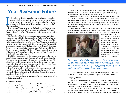#### Your Awesome Future

# Your Awesome Future

In light of these<br>
seen, the belia<br>
ranged over a<br>
on which we<br>
(Ecclesiastes 9:5). n light of these biblical truths, where does that leave us? As we have seen, the beliefs of people about the nature of heaven and hell have ranged over a broad—and confusing—spectrum. But there is one thing on which we all should agree: "The living know that they will die"

The prospect of death has hung over the heads of mankind as long as human beings have existed. When people do not understand God's truth, they are gripped by the fear of death and enslaved in a cruel and unforgiving bondage.

*The Expositor's Bible Commentary* summarizes how the truth of the resurrection, exemplified in the resurrection of Christ, transformed the outlook of many: "In the first century this [fear of death] was very real. The philosophers urged people to be calm in the face of death, and some of them managed to do so. But to most people this brought no relief. Fear was widespread, as the hopeless tone of the inscriptions on tombs clearly illustrates. But one of the many wonderful things about the Christian gospel is that it delivers men and women from this fear . . . They are saved with a sure hope of life eternal, a life whose best lies beyond the grave" (Leon Morris, 1981, Vol. 12, p. 29, note on Hebrews 2:14-15).

The Bible reveals that the best that man can experience lies beyond the grave. It shows us that converted Christians will inherit eternal life at the first resurrection and that death will never again lay a claim on them: "So when this corruptible has put on incorruption, and this mortal has put on immortality, then shall be brought to pass the saying that is written: 'Death is swallowed up in victory'" (1 Corinthians 15:54).

The life to come will be vastly superior to this present, temporary existence. It will be a life abounding in both purpose and pleasure: "In your presence is fullness of joy; at Your right hand are pleasures forevermore," wrote David (Psalm 16:11).

Let us now catch a glimpse of what awaits those who receive eternal life in the first resurrection.

#### **What will we be like?**

We can know in general terms what we will be like in this resurrection because the Bible tells us we will be like the resurrected Jesus. "The first man was of the earth, made of dust; the second Man is the Lord from heaven . . . And as we have borne the image of the man of dust, we shall also bear the image of the heavenly Man" (1 Corinthians 15:47, 49).

We learn that in the resurrection we will take on the same image, or likeness, that Christ has. This includes becoming a spirit being with a spirit body rather than flesh and blood (see verses 45, 50).

Moreover, Paul tells us that true Christians will "share the likeness of his Son," who is "the eldest among a large family of brothers" (Romans 8:29, Revised English Bible). Did you catch that? We will be Jesus' brothers and share His likeness. Though Christ has eternally existed and we have not, we will be elevated to a plane so high that we are called *children of God* and *brothers of Jesus Christ.* 

The apostle John confirms these same two truths—that we'll be children of God and that we'll have the same glorified form as Jesus Christ. "Behold what manner of love the Father has bestowed on us," he writes, "that we should be



called *children of God"* (1 John 3:1). And in the next verse he tells us, "We know that when He is revealed, *we shall be like Him,* for we shall see Him as He is."

Raised in unimaginable splendor, we will share the divine glory and dominion of Christ (Romans 8:16-18; 2 Corinthians 3:18; 2 Thessalonians 2:14; Hebrews

*The prospect of death has hung over the heads of mankind as long as human beings have existed. When people do not understand God's truth, they are gripped by the fear of death and enslaved in a cruel and unforgiving bondage.*

1:1-3; 2:5-9; Revelation 21:7)—though we will never equal Him. He is the one Son of God who has always existed, superior to all but the Father.

#### **The glory of Christ**

Photos.com *Photos.com*

What is the glory of Christ like? During His physical ministry on earth, He gave three of His disciples a preview of His appearance in this glorified spiritual state. "He was transfigured . . . His face shone like the sun, and His clothes became as white as the light" (Matthew 17:2).

Years later, at the writing of the book of Revelation, John saw a vision of the resurrected, glorified Christ. Notice how John describes His awesome appearance: "His hair was as white as snow-white wool, and his eyes flamed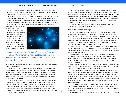like fire; his feet were like burnished bronze refined in a furnace, and his voice was like the sound of a mighty torrent . . . His face shone like the sun in full strength" (Revelation 1:14-16, REB).

This language describes Jesus Christ, the glorified Son of God, as a being of awe-inspiring brilliance. We, too, will share that dazzling appearance!

After His resurrection Jesus had the ability to take on the appearance He had when He existed in the flesh. Early on the morning after He rose from the garden tomb, Mary Magdalene visited His grave. When she saw the

tomb was empty, she began to weep (John 20:11).

Then "Jesus said to her, 'Woman, why are you weeping? Whom are you seeking?' She, supposing Him to be the gardener, said to Him, 'Sir, if You have carried Him away, tell me where You have laid Him, and I will take Him away'" (verse 15). So Jesus appeared to Mary



*NASA*

*"Multitudes who sleep in the dust of the earth will awake . . . Those who are wise will shine like the brightness of the heavens, and those who lead many to righteousness, like the stars for ever and ever."*

as a normal human being rather than in His radiant state. She at first mistook Him for the gardener.

On another occasion Jesus appeared from nowhere inside a closed room where His disciples were meeting: "And after eight days His disciples were again inside . . . Jesus came, the doors being shut, and stood in the midst, and said, 'Peace to you!'" (John 20:26). After His resurrection Jesus was able to pass through solid barriers—such as the walls of a building or the stone enclosure of His tomb.

Like Jesus, when we are changed to spirit we will not be limited by the laws that govern physical things. With the ability to simply materialize as Jesus did, we will not be subject to restrictions on physical objects. As part of this change we will no longer need to eat to survive, but apparently will have the option of eating for pleasure and fellowship if we choose. In two of Jesus' post-resurrection appearances He shared a meal with His disciples (Luke 24:28-30; John 21:9-15).

Those to whom God gives eternal life in the resurrection will forever possess these supernatural characteristics. Notice the description of the resurrection in the book of Daniel: "Multitudes who sleep in the dust of the earth will awake: some to everlasting life, others to shame and everlasting contempt. Those who are wise *will shine like the brightness of the heavens,* and those who lead many to righteousness, *like the stars for ever and ever"* (Daniel 12:2-3, NIV).

To better understand just what all this means, be sure to send for or download our free booklet *What Is Your Destiny?*

#### **What will we do as spirit beings?**

Your Awesome Future

As spirit beings in God's family, we will live and work at the highest possible level and environment. Jesus said, "And this is eternal life, that they may know You, the only true God, and Jesus Christ whom You have sent" (John 17:3). We will spend eternity with God in His environment—the world of spirit and unimaginable power. We will not sit idle in our new life. We will be positively occupied. Jesus said, "My Father has been working until now, and I have been working" (John 5:17).

When Christ returns to establish the Kingdom of God on earth, those in the first resurrection will serve as judges (Revelation 20:4) and priests (verse 6) and will "reign on the earth" (Revelation 5:10). We will not go to heaven to live passively and idly.

Jesus will return to a world that has largely destroyed itself by living in opposition to the commands of its Creator. He will teach people to obey God's laws. He will begin a massive reeducation process to help people *un*learn their old ways of doing things and for the first time learn to do things God's way.

Notice Isaiah's prophecy of this future rule of Jesus as Messiah and King over the earth, wherein "mountains" and "hills" are symbolic of larger and smaller kingdoms or political states respectively:

"Now it shall come to pass in the latter days that the mountain of the LORD's house shall be established on the top of the mountains, and shall be exalted above the hills; and all nations shall flow to it. Many people shall come and say, 'Come and let us go up to the mountain of the LORD, to the house of the God of Jacob; He will teach us His ways, and we shall walk in His paths.' For out of Zion shall go forth the law, and the word of the LORD from Jerusalem.

"He shall judge between the nations, and rebuke many people; they shall beat their swords into plowshares, and their spears into pruning hooks; nation shall not lift up sword against nation, neither shall they learn war anymore" (Isaiah 2:2-4).

At that time Christ will teach all people who have not known God's way.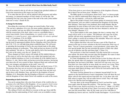He will be assisted in this by all who are changed into glorified children of God in the resurrection at His return (see Luke 20:36).

If we enter that new life we will be endowed with great power and unlimited energy. As immortal members of God's family we will be like "the everlasting God, the LORD, the Creator of the ends of the earth, [who] neither faints nor is weary" (Isaiah 40:28).

#### **A change for the better**

Describing the event that will change our mortal bodies, Paul writes: "The sun has a splendour of its own, the moon another splendour, and the stars yet another; and one star differs from another in brightness. So it is with the resurrection of the dead: what is sown as a perishable thing *is raised imperishable.* Sown in humiliation, *it is raised in glory;* sown in weakness, *it is raised in power;* sown a physical body, *it is raised a spiritual body"* (1 Corinthians 15:41-44, REB).

God will give us bodies that will never tire nor grow ill—and minds having the kind of supernatural abilities He has. Reigning with Christ (Revelation 2:26; 3:21), we will help bring about worldwide peace. We will assist in spreading the knowledge of God to the most distant lands in His globespanning program of reeducation. "They shall not hurt nor destroy in all My holy mountain," He tells us, "for the earth shall be full of the knowledge of the LORD as the waters cover the sea" (Isaiah 11:9).

Those changed at Christ's return will include all His faithful followers at His return as well as the dead who were called, had repented and who lived in faithful obedience to God. It will include all of the faithful listed in Hebrews 11, who "died in faith, not having received the promises, but having seen them afar off were assured of them, embraced them and confessed that they were strangers and pilgrims on the earth" (verse 13).

Those who died in faith include Abraham, Isaac and Jacob (verses 17-21). The promise they have not yet received is the promise of the Kingdom of God. As Jesus says, "I say to you that many will come from east and west, and sit down with Abraham, Isaac, and Jacob in the kingdom of heaven" (Matthew 8:11). Remember that the Kingdom of Heaven is synonymous with the Kingdom of God, which Christ will establish on earth at His return.

#### **Responding to God's invitation**

You can be among those who arise from all parts of the world in the resurrection to be with Christ in His Kingdom—*if you respond to God's invitation.* God is issuing that call through the preaching of the gospel. This very booklet you are reading is part of that effort.

The calling of God is not offered to everyone in this age. Jesus told His disciples that the understanding of God's truth is not yet available to many: Your Awesome Future

"It has been given to you to know the mysteries of the kingdom of heaven, but to them it has not been given" (Matthew 13:11).

The Bible speaks in several places about God's "elect" or chosen people. They are called to understand these things now, in this present age, but the rest—the vast majority—will not be called until later.

Most of the people of Israel, God's nation spoken of extensively in the Old Testament, were not called to understand the Kingdom of God during their lifetimes. Their hearts were hardened, their minds blinded. But the opportunity for most of them will come in the second resurrection. "Israel has not obtained what it seeks; but the elect have obtained it, and the rest were blinded" (Romans 11:7).

Yet as Paul explains in this same chapter, the time is coming when "all Israel will be saved, as it is written: 'The Deliverer will come out of Zion, and He will turn away ungodliness from Jacob [i.e., Israel]'" (verse 26). God's calling is carried out according to His timetable. When all is said and done, His plan is entirely fair to everyone.

Peter explains that those who now become a part of His Church are chosen in this age to receive salvation in the first resurrection. Peter says of them, "You are a chosen generation, a royal priesthood, a holy nation, His own special people, that you may proclaim the praises of Him who called you out of darkness into His marvelous light" (1 Peter 2:9).

The good news is that God eventually will offer eternal life to everyone who repents. He desires that everyone enter His Kingdom. He wants to share this opportunity for eternal life with all (2 Peter 3:9).

In a final, breathtaking view of what God has in store for those who serve Him, the apostle John was inspired to write this glimpse of the future in Revelation, the last book of the Bible: "And God will wipe away every tear from their eyes; there shall be no more death, nor sorrow, nor crying. There shall be no more pain, for the former things have passed away . . . He who overcomes shall inherit all things, and I will be his God and he shall be My son" (Revelation 21:4, 7).

The future God has planned for us is fantastic beyond belief! It is far superior to the fanciful heaven of men's imagination. God will share the real future with all who repent and turn from their sins. As for those who willfully refuse to repent, they will not suffer forever in hell. They will simply cease to be. But this need not happen to you.

You may share in the eternal Kingdom of God if you heed the words Jesus spoke when He began His ministry: "The time has come . . . The kingdom of God is near*. Repent and believe the good news!"* (Mark 1:15, NIV).

Take comfort in the truth of God. There is no need to fear death if you turn your life toward Him. After all, He wants you to live with Him in abundant joy forever and ever. And He'll make that happen—if you let Him!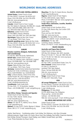#### **WORLDWIDE MAILING ADDRESSES**

#### **North, South and Central America**

**United States:** United Church of God P.O. Box 541027, Cincinnati, OH 45254-1027 Phone: (513) 576-9796 Fax (513) 576-9795 Web site: www.gnmagazine.org E-mail: info@ucg.org **Canada:** United Church of God–Canada Box 144, Station D, Etobicoke, ON M9A 4X1, Canada Phone: (905) 876-9966, (800) 338-7779 Fax: (905) 876-0569 Web site: www.ucg.ca **Bahamas:** United Church of God P.O. Box N8873, Nassau, Bahamas Phone: (242) 324-3169 Fax: (242) 364-5566 **Martinique:** Église de Dieu Unie–France 127 rue Amelot, 75011 Paris, France **Spanish-speaking areas:** Iglesia de Dios Unida P.O. Box 541027, Cincinnati, OH 45254-1027, U.S.A. Phone: (513) 576-9796 Fax (513) 576-9795 E-mail: info@ucg.org

#### **Europe**

**Benelux countries (Belgium, Netherlands and Luxembourg):** 

P.O. Box 93, 2800 AB Gouda, Netherlands **British Isles:** United Church of God P.O. Box 705, Watford, Herts, WD19 6FZ, England Phone: 020-8386-8467 Fax: 020-8386-1999 Web site: www.goodnews.org.uk **France:** Église de Dieu Unie–France 127 rue Amelot, 75011 Paris, France **Germany:** Vereinte Kirche Gottes/Gute Nachrichten Postfach 30 15 09, D-53195 Bonn, Germany Phone: 0228-9454636 Fax: 0228-9454637 **Italy:** La Buona Notizia, Chiesa di Dio Unita Casella Postale 187, 24121 Bergamo Centro, Italy Phone and Fax: (+39) 035 4523573 Web site: www.labuonanotizia.org E-mail: info@labuonanotizia.org **Scandinavia:** Guds Enade Kyrka P.O. Box 3535, 111 74 Stockholm, Sweden Phone: +44 20 8386-8467 E-mail: sverige@ucg.org

#### **Africa**

**East Africa–Kenya, Tanzania and Uganda:**  United Church of God–East Africa P.O. Box 75261, Nairobi 00200, Kenya E-mail: kenya@ucg.org Web site: www.ucgeastafrica.org **Ghana:** P.O. Box AF 75, Adenta, Accra, Ghana E-mail: ghana@ucg.org **Malawi:** P.O. Box 32257, Chichiri, Blantyre 3, Malawi Phone: 085 22 717 E-mail: malawi@ucg.org

**Mauritius:** P.O. Box 53, Quatre Bornes, Mauritius E-mail: mauritius@ucg.org **Nigeria:** United Church of God–Nigeria P.O. Box 2265 Somolu, Lagos, Nigeria Phone: 01-8113644 Web site: www.ucgnigeria.org E-mail: nigeria@ucg.org **South Africa, Botswana, Lesotho, Namibia and Swaziland:** United Church of God–Southern Africa P.O. Box 2209, Beacon Bay, East London 5205 South Africa Phone and Fax: 043 748-1694 Web site: www.ucg-rsa.org **Zambia:** P.O. Box 23076, Kitwe, Zambia Phone: (02) 226076 E-mail: zambia@ucg.org **Zimbabwe:** P.O. Box 928 Causeway, Harare, Zimbabwe Phone: 011716273 E-mail: zimbabwe@ucg.org

#### **Pacific region**

#### **Australia and Papua New Guinea:**

United Church of God–Australia GPO Box 535, Brisbane, Qld. 4001, Australia Phone: 07 55 202 111 Free call: 1800 356 202 Fax: 07 55 202 122 Web site: www.ucg.org.au E-mail: info@ucg.org.au **Fiji:** United Church of God P.O. Box 11081, Laucala Beach Estate, Suva, Fiji **New Zealand:** United Church of God P.O. Box 22, Shortland St. Auckland 1140, New Zealand Phone: Toll-free 0508-463-763 Web site: www.ucg.org.nz E-mail: info@ucg.org.nz **Tonga:** United Church of God–Tonga P.O. Box 2617, Nuku'alofa, Tonga

#### **ASIA**

**All except Philippines:** United Church of God, P.O. Box 541027, Cincinnati, OH 45254-1027, U.S.A. Phone: (513) 576-9796 Fax (513) 576-9795 E-mail: info@ucg.org **Philippines:** P.O. Box 81840 DCCPO, 8000 Davao City, Philippines Phone and fax: +63 82 224-4444 Cell/text: +63 918-904-4444 Web site: www.ucg.org.ph E-mail: info@ucg.org.ph

#### **All AREAS AND NATIONS not listed**

United Church of God P.O. Box 541027, Cincinnati, OH 45254-1027, U.S.A. Phone: (513) 576-9796 Fax (513) 576-9795 E-mail: info@ucg.org

*Author:* Noel Nornor *Contributing writers:* Scott Ashley, Tom Robinson, John Ross Schroeder *Editorial reviewers:* Roger Foster, Jim Franks, Bruce Gore, Roy Holladay, Paul Kieffer, Graemme Marshall, Burk McNair, Richard Thompson, David Treybig, Leon Walker, Donald Ward, Lyle Welty Cover: Photo illustration by Shaun Venish HL/0903/2.0